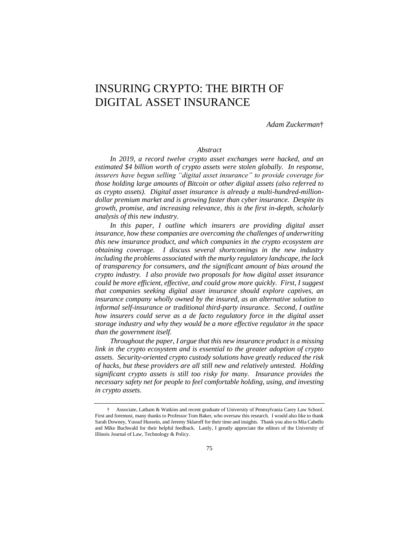# INSURING CRYPTO: THE BIRTH OF DIGITAL ASSET INSURANCE

*Adam Zuckerman*†

# *Abstract*

*In 2019, a record twelve crypto asset exchanges were hacked, and an estimated \$4 billion worth of crypto assets were stolen globally. In response, insurers have begun selling "digital asset insurance" to provide coverage for those holding large amounts of Bitcoin or other digital assets (also referred to as crypto assets). Digital asset insurance is already a multi-hundred-milliondollar premium market and is growing faster than cyber insurance. Despite its growth, promise, and increasing relevance, this is the first in-depth, scholarly analysis of this new industry.* 

*In this paper, I outline which insurers are providing digital asset insurance, how these companies are overcoming the challenges of underwriting this new insurance product, and which companies in the crypto ecosystem are obtaining coverage. I discuss several shortcomings in the new industry including the problems associated with the murky regulatory landscape, the lack of transparency for consumers, and the significant amount of bias around the crypto industry. I also provide two proposals for how digital asset insurance could be more efficient, effective, and could grow more quickly. First, I suggest that companies seeking digital asset insurance should explore captives, an insurance company wholly owned by the insured, as an alternative solution to informal self-insurance or traditional third-party insurance. Second, I outline how insurers could serve as a de facto regulatory force in the digital asset storage industry and why they would be a more effective regulator in the space than the government itself.* 

*Throughout the paper, I argue that this new insurance product is a missing link in the crypto ecosystem and is essential to the greater adoption of crypto assets. Security-oriented crypto custody solutions have greatly reduced the risk of hacks, but these providers are all still new and relatively untested. Holding significant crypto assets is still too risky for many. Insurance provides the necessary safety net for people to feel comfortable holding, using, and investing in crypto assets.*

<sup>†</sup> Associate, Latham & Watkins and recent graduate of University of Pennsylvania Carey Law School. First and foremost, many thanks to Professor Tom Baker, who oversaw this research. I would also like to thank Sarah Downey, Yussuf Hussein, and Jeremy Sklaroff for their time and insights. Thank you also to Mia Cabello and Mike Buchwald for their helpful feedback. Lastly, I greatly appreciate the editors of the University of Illinois Journal of Law, Technology & Policy.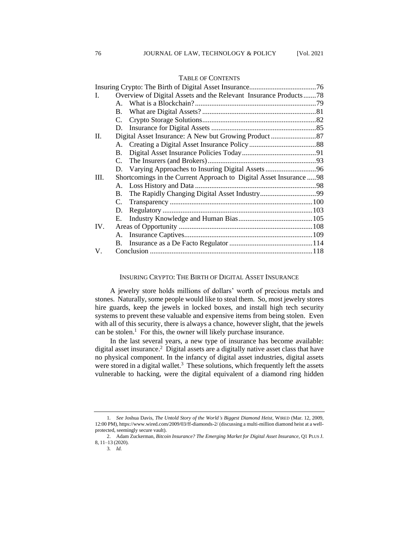| I.   |                                                                     | Overview of Digital Assets and the Relevant Insurance Products78 |  |
|------|---------------------------------------------------------------------|------------------------------------------------------------------|--|
|      |                                                                     |                                                                  |  |
|      |                                                                     |                                                                  |  |
|      |                                                                     |                                                                  |  |
|      |                                                                     |                                                                  |  |
| II.  |                                                                     |                                                                  |  |
|      |                                                                     |                                                                  |  |
|      | <b>B.</b>                                                           |                                                                  |  |
|      |                                                                     |                                                                  |  |
|      |                                                                     |                                                                  |  |
| III. | Shortcomings in the Current Approach to Digital Asset Insurance  98 |                                                                  |  |
|      |                                                                     |                                                                  |  |
|      | <b>B.</b>                                                           |                                                                  |  |
|      | C.                                                                  |                                                                  |  |
|      |                                                                     |                                                                  |  |
|      | Е.                                                                  |                                                                  |  |
| IV.  |                                                                     |                                                                  |  |
|      |                                                                     |                                                                  |  |
|      |                                                                     |                                                                  |  |
| V.   |                                                                     |                                                                  |  |
|      |                                                                     |                                                                  |  |

# TABLE OF CONTENTS

# INSURING CRYPTO: THE BIRTH OF DIGITAL ASSET INSURANCE

A jewelry store holds millions of dollars' worth of precious metals and stones. Naturally, some people would like to steal them. So, most jewelry stores hire guards, keep the jewels in locked boxes, and install high tech security systems to prevent these valuable and expensive items from being stolen. Even with all of this security, there is always a chance, however slight, that the jewels can be stolen.<sup>1</sup> For this, the owner will likely purchase insurance.

In the last several years, a new type of insurance has become available: digital asset insurance.<sup>2</sup> Digital assets are a digitally native asset class that have no physical component. In the infancy of digital asset industries, digital assets were stored in a digital wallet.<sup>3</sup> These solutions, which frequently left the assets vulnerable to hacking, were the digital equivalent of a diamond ring hidden

<sup>1</sup>*. See* Joshua Davis, *The Untold Story of the World's Biggest Diamond Heist,* WIRED (Mar. 12, 2009, 12:00 PM), https://www.wired.com/2009/03/ff-diamonds-2/ (discussing a multi-million diamond heist at a wellprotected, seemingly secure vault).

<sup>2.</sup> Adam Zuckerman, *Bitcoin Insurance? The Emerging Market for Digital Asset Insurance*, Q1 PLUS J. 8, 11–13 (2020).

<sup>3</sup>*. Id.*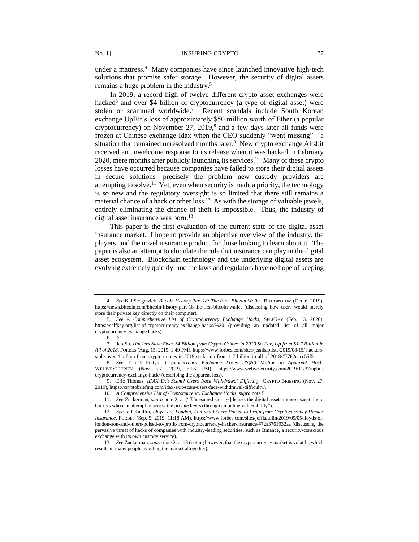under a mattress.<sup>4</sup> Many companies have since launched innovative high-tech solutions that promise safer storage. However, the security of digital assets remains a huge problem in the industry.<sup>5</sup>

In 2019, a record high of twelve different crypto asset exchanges were hacked<sup>6</sup> and over \$4 billion of cryptocurrency (a type of digital asset) were stolen or scammed worldwide.<sup>7</sup> Recent scandals include South Korean exchange UpBit's loss of approximately \$50 million worth of Ether (a popular cryptocurrency) on November 27, 2019, $\delta$  and a few days later all funds were frozen at Chinese exchange Idax when the CEO suddenly "went missing"—a situation that remained unresolved months later.<sup>9</sup> New crypto exchange Altsbit received an unwelcome response to its release when it was hacked in February 2020, mere months after publicly launching its services.<sup>10</sup> Many of these crypto losses have occurred because companies have failed to store their digital assets in secure solutions—precisely the problem new custody providers are attempting to solve.<sup>11</sup> Yet, even when security is made a priority, the technology is so new and the regulatory oversight is so limited that there still remains a material chance of a hack or other loss.<sup>12</sup> As with the storage of valuable jewels, entirely eliminating the chance of theft is impossible. Thus, the industry of digital asset insurance was born.<sup>13</sup>

This paper is the first evaluation of the current state of the digital asset insurance market. I hope to provide an objective overview of the industry, the players, and the novel insurance product for those looking to learn about it. The paper is also an attempt to elucidate the role that insurance can play in the digital asset ecosystem. Blockchain technology and the underlying digital assets are evolving extremely quickly, and the laws and regulators have no hope of keeping

<sup>4</sup>*. See* Kai Sedgewick, *Bitcoin History Part 18: The First Bitcoin Wallet*, BITCOIN.COM (Oct. 6, 2019), https://news.bitcoin.com/bitcoin-history-part-18-the-first-bitcoin-wallet (discussing how users would merely store their private key directly on their computer).

<sup>5</sup>*. See A Comprehensive List of Cryptocurrency Exchange Hacks*, SELFKEY (Feb. 13, 2020), https://selfkey.org/list-of-cryptocurrency-exchange-hacks/%20 (providing an updated list of all major cryptocurrency exchange hacks).

<sup>6</sup>*. Id.*

<sup>7</sup>*.* Jeb Su, *Hackers Stole Over \$4 Billion from Crypto Crimes in 2019 So Far, Up from \$1.7 Billion in All of 2018*, FORBES (Aug. 15, 2019, 1:49 PM), https://www.forbes.com/sites/jeanbaptiste/2019/08/15/ hackersstole-over-4-billion-from-crypto-crimes-in-2019-so-far-up-from-1-7-billion-in-all-of-2018/#7762eacc55f5

<sup>8</sup>*. See* Tomáš Foltyn, *Cryptocurrency Exchange Loses US\$50 Million in Apparent Hack*, WELIVESECURITY (Nov. 27, 2019, 5:06 PM), https://www.welivesecurity.com/2019/11/27/upbitcryptocurrency-exchange-hack/ (describing the apparent loss).

<sup>9.</sup> Eric Thomas, *IDAX Exit Scam? Users Face Withdrawal Difficulty*, CRYPTO BRIEFING (Nov. 27, 2019), https://cryptobriefing.com/idax-exit-scam-users-face-withdrawal-difficulty/.

<sup>10</sup>*. A Comprehensive List of Cryptocurrency Exchange Hacks*, *supra* note 5.

<sup>11.</sup> *See* Zuckerman, *supra* note 2, at ("[Unsecured storage] leaves the digital assets more susceptible to hackers who can attempt to access the private key(s) through an online vulnerability").

<sup>12</sup>*. See* Jeff Kauflin, *Lloyd's of London, Aon and Others Poised to Profit from Cryptocurrency Hacker Insurance*, FORBES (Sep. 5, 2019, 11:18 AM), https://www.forbes.com/sites/jeffkauflin/2019/09/05/lloyds-oflondon-aon-and-others-poised-to-profit-from-cryptocurrency-hacker-insurance/#72a3761932aa (discussing the pervasive threat of hacks of companies with industry-leading securities, such as Binance, a security-conscious exchange with its own custody service).

<sup>13</sup>*. See* Zuckerman, *supra* note 2, at 13 (noting however, that the cryptocurrency market is volatile, which results in many people avoiding the market altogether).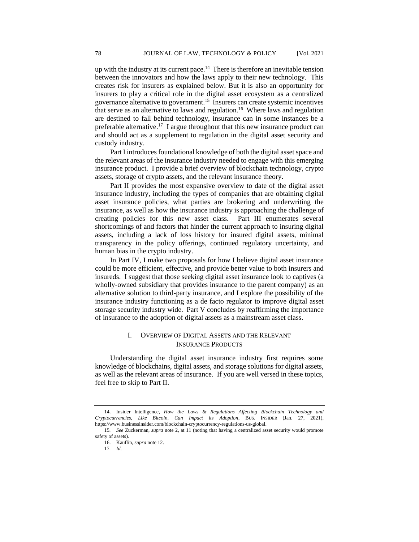up with the industry at its current pace.<sup>14</sup> There is therefore an inevitable tension between the innovators and how the laws apply to their new technology. This creates risk for insurers as explained below. But it is also an opportunity for insurers to play a critical role in the digital asset ecosystem as a centralized governance alternative to government.<sup>15</sup> Insurers can create systemic incentives that serve as an alternative to laws and regulation.<sup>16</sup> Where laws and regulation are destined to fall behind technology, insurance can in some instances be a preferable alternative.<sup>17</sup> I argue throughout that this new insurance product can and should act as a supplement to regulation in the digital asset security and custody industry.

Part I introduces foundational knowledge of both the digital asset space and the relevant areas of the insurance industry needed to engage with this emerging insurance product. I provide a brief overview of blockchain technology, crypto assets, storage of crypto assets, and the relevant insurance theory.

Part II provides the most expansive overview to date of the digital asset insurance industry, including the types of companies that are obtaining digital asset insurance policies, what parties are brokering and underwriting the insurance, as well as how the insurance industry is approaching the challenge of creating policies for this new asset class. Part III enumerates several shortcomings of and factors that hinder the current approach to insuring digital assets, including a lack of loss history for insured digital assets, minimal transparency in the policy offerings, continued regulatory uncertainty, and human bias in the crypto industry.

In Part IV, I make two proposals for how I believe digital asset insurance could be more efficient, effective, and provide better value to both insurers and insureds. I suggest that those seeking digital asset insurance look to captives (a wholly-owned subsidiary that provides insurance to the parent company) as an alternative solution to third-party insurance, and I explore the possibility of the insurance industry functioning as a de facto regulator to improve digital asset storage security industry wide. Part V concludes by reaffirming the importance of insurance to the adoption of digital assets as a mainstream asset class.

# I. OVERVIEW OF DIGITAL ASSETS AND THE RELEVANT INSURANCE PRODUCTS

Understanding the digital asset insurance industry first requires some knowledge of blockchains, digital assets, and storage solutions for digital assets, as well as the relevant areas of insurance. If you are well versed in these topics, feel free to skip to Part II.

<sup>14.</sup> Insider Intelligence, *How the Laws & Regulations Affecting Blockchain Technology and Cryptocurrencies, Like Bitcoin, Can Impact its Adoption*, BUS. INSIDER (Jan. 27, 2021), https://www.businessinsider.com/blockchain-cryptocurrency-regulations-us-global.

<sup>15</sup>*. See* Zuckerman, *supra* note 2, at 11 (noting that having a centralized asset security would promote safety of assets).

<sup>16.</sup> Kauflin, *supra* note 12.

<sup>17</sup>*. Id.*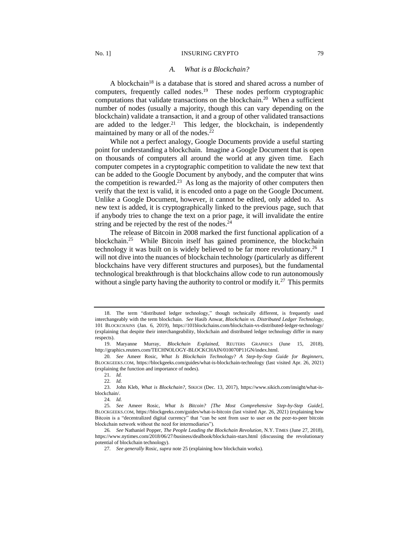## *A. What is a Blockchain?*

A blockchain<sup>18</sup> is a database that is stored and shared across a number of computers, frequently called nodes.<sup>19</sup> These nodes perform cryptographic computations that validate transactions on the blockchain.<sup>20</sup> When a sufficient number of nodes (usually a majority, though this can vary depending on the blockchain) validate a transaction, it and a group of other validated transactions are added to the ledger.<sup>21</sup> This ledger, the blockchain, is independently maintained by many or all of the nodes.<sup>22</sup>

While not a perfect analogy, Google Documents provide a useful starting point for understanding a blockchain. Imagine a Google Document that is open on thousands of computers all around the world at any given time. Each computer competes in a cryptographic competition to validate the new text that can be added to the Google Document by anybody, and the computer that wins the competition is rewarded.<sup>23</sup> As long as the majority of other computers then verify that the text is valid, it is encoded onto a page on the Google Document. Unlike a Google Document, however, it cannot be edited, only added to. As new text is added, it is cryptographically linked to the previous page, such that if anybody tries to change the text on a prior page, it will invalidate the entire string and be rejected by the rest of the nodes. $24$ 

The release of Bitcoin in 2008 marked the first functional application of a blockchain.<sup>25</sup> While Bitcoin itself has gained prominence, the blockchain technology it was built on is widely believed to be far more revolutionary.<sup>26</sup> I will not dive into the nuances of blockchain technology (particularly as different blockchains have very different structures and purposes), but the fundamental technological breakthrough is that blockchains allow code to run autonomously without a single party having the authority to control or modify it.<sup>27</sup> This permits

<sup>18.</sup> The term "distributed ledger technology," though technically different, is frequently used interchangeably with the term blockchain. *See* Hasib Anwar, *Blockchain vs. Distributed Ledger Technology*, 101 BLOCKCHAINS (Jan. 6, 2019), https://101blockchains.com/blockchain-vs-distributed-ledger-technology/ (explaining that despite their interchangeability, blockchain and distributed ledger technology differ in many respects).

<sup>19.</sup> Maryanne Murray, *Blockchain Explained*, REUTERS GRAPHICS (June 15, 2018), http://graphics.reuters.com/TECHNOLOGY-BLOCKCHAIN/010070P11GN/index.html.

<sup>20</sup>*. See* Ameer Rosic, *What Is Blockchain Technology? A Step-by-Step Guide for Beginners,*  BLOCKGEEKS.COM, https://blockgeeks.com/guides/what-is-blockchain-technology (last visited Apr. 26, 2021) (explaining the function and importance of nodes).

<sup>21</sup>*. Id.*

<sup>22</sup>*. Id.*

<sup>23.</sup> John Kleb, *What is Blockchain?*, SIKICH (Dec. 13, 2017), https://www.sikich.com/insight/what-isblockchain/.

<sup>24</sup>*. Id.*

<sup>25</sup>*. See* Ameer Rosic, *What Is Bitcoin? [The Most Comprehensive Step-by-Step Guide]*, BLOCKGEEKS.COM, https://blockgeeks.com/guides/what-is-bitcoin (last visited Apr. 26, 2021) (explaining how Bitcoin is a "decentralized digital currency" that "can be sent from user to user on the peer-to-peer bitcoin blockchain network without the need for intermediaries").

<sup>26</sup>*. See* Nathaniel Popper, *The People Leading the Blockchain Revolution*, N.Y. TIMES (June 27, 2018), https://www.nytimes.com/2018/06/27/business/dealbook/blockchain-stars.html (discussing the revolutionary potential of blockchain technology).

<sup>27</sup>*. See generally* Rosic, *supra* note 25 (explaining how blockchain works).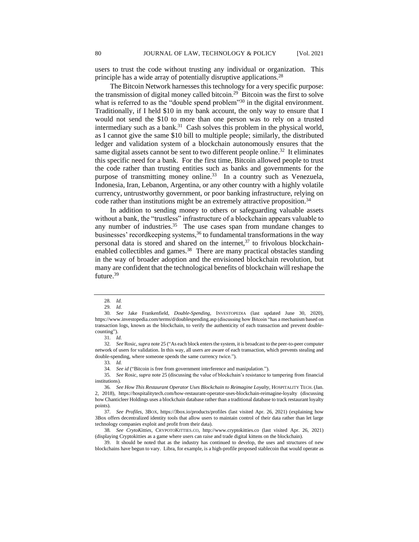users to trust the code without trusting any individual or organization. This principle has a wide array of potentially disruptive applications.<sup>28</sup>

The Bitcoin Network harnesses this technology for a very specific purpose: the transmission of digital money called bitcoin.<sup>29</sup> Bitcoin was the first to solve what is referred to as the "double spend problem"<sup>30</sup> in the digital environment. Traditionally, if I held \$10 in my bank account, the only way to ensure that I would not send the \$10 to more than one person was to rely on a trusted intermediary such as a bank. $31$  Cash solves this problem in the physical world, as I cannot give the same \$10 bill to multiple people; similarly, the distributed ledger and validation system of a blockchain autonomously ensures that the same digital assets cannot be sent to two different people online.<sup>32</sup> It eliminates this specific need for a bank. For the first time, Bitcoin allowed people to trust the code rather than trusting entities such as banks and governments for the purpose of transmitting money online.<sup>33</sup> In a country such as Venezuela, Indonesia, Iran, Lebanon, Argentina, or any other country with a highly volatile currency, untrustworthy government, or poor banking infrastructure, relying on code rather than institutions might be an extremely attractive proposition.<sup>34</sup>

In addition to sending money to others or safeguarding valuable assets without a bank, the "trustless" infrastructure of a blockchain appears valuable to any number of industries.<sup>35</sup> The use cases span from mundane changes to businesses' recordkeeping systems,<sup>36</sup> to fundamental transformations in the way personal data is stored and shared on the internet, $37$  to frivolous blockchainenabled collectibles and games.<sup>38</sup> There are many practical obstacles standing in the way of broader adoption and the envisioned blockchain revolution, but many are confident that the technological benefits of blockchain will reshape the future.<sup>39</sup>

34*. See id* ("Bitcoin is free from government interference and manipulation.").

35*. See* Rosic, *supra* note 25 (discussing the value of blockchain's resistance to tampering from financial institutions).

<sup>28</sup>*. Id.*

<sup>29</sup>*. Id.*

<sup>30</sup>*. See* Jake Frankenfield, *Double-Spending*, INVESTOPEDIA (last updated June 30, 2020), https://www.investopedia.com/terms/d/doublespending.asp (discussing how Bitcoin "has a mechanism based on transaction logs, known as the [blockchain,](https://www.investopedia.com/terms/b/blockchain.asp) to verify the authenticity of each transaction and prevent doublecounting").

<sup>31</sup>*. Id.*

<sup>32</sup>*. See* Rosic, *supra* note 25 ("As each block enters the system, it is broadcast to the peer-to-peer computer network of users for validation. In this way, all users are aware of each transaction, which prevents stealing and double-spending, where someone spends the same currency twice.").

<sup>33</sup>*. Id.*

<sup>36</sup>*. See How This Restaurant Operator Uses Blockchain to Reimagine Loyalty,* HOSPITALITY TECH. (Jan. 2, 2018), https://hospitalitytech.com/how-restaurant-operator-uses-blockchain-reimagine-loyalty (discussing how Chanticleer Holdings uses a blockchain database rather than a traditional database to track restaurant loyalty points).

<sup>37</sup>*. See Profiles*, 3BOX, https://3box.io/products/profiles (last visited Apr. 26, 2021) (explaining how 3Box offers decentralized identity tools that allow users to maintain control of their data rather than let large technology companies exploit and profit from their data).

<sup>38</sup>*. See CrytoKitties*, CRYPOTOKITTIES.CO, http://www.cryptokitties.co (last visited Apr. 26, 2021) (displaying Cryptokitties as a game where users can raise and trade digital kittens on the blockchain).

<sup>39.</sup> It should be noted that as the industry has continued to develop, the uses and structures of new blockchains have begun to vary. Libra, for example, is a high-profile proposed stablecoin that would operate as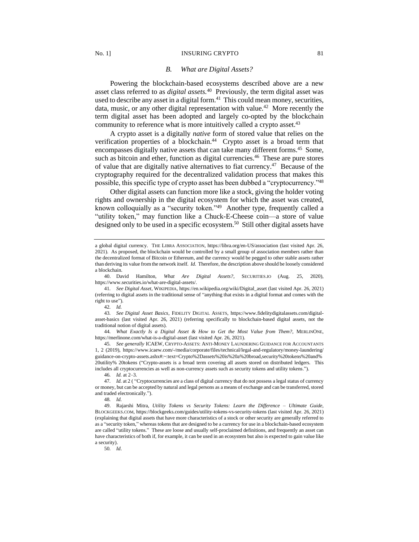### No. 1] INSURING CRYPTO 81

#### *B. What are Digital Assets?*

Powering the blockchain-based ecosystems described above are a new asset class referred to as *digital assets.* 40 Previously, the term digital asset was used to describe any asset in a digital form.<sup>41</sup> This could mean money, securities, data, music, or any other digital representation with value.<sup>42</sup> More recently the term digital asset has been adopted and largely co-opted by the blockchain community to reference what is more intuitively called a crypto asset.<sup>43</sup>

A crypto asset is a digitally *native* form of stored value that relies on the verification properties of a blockchain.<sup>44</sup> Crypto asset is a broad term that encompasses digitally native assets that can take many different forms.<sup>45</sup> Some, such as bitcoin and ether, function as digital currencies.<sup>46</sup> These are pure stores of value that are digitally native alternatives to fiat currency.<sup>47</sup> Because of the cryptography required for the decentralized validation process that makes this possible, this specific type of crypto asset has been dubbed a "cryptocurrency."<sup>48</sup>

Other digital assets can function more like a stock, giving the holder voting rights and ownership in the digital ecosystem for which the asset was created, known colloquially as a "security token."<sup>49</sup> Another type, frequently called a "utility token," may function like a Chuck-E-Cheese coin—a store of value designed only to be used in a specific ecosystem.<sup>50</sup> Still other digital assets have

42*. Id.*

44*. What Exactly Is a Digital Asset & How to Get the Most Value from Them?*, MERLINONE, https://merlinone.com/what-is-a-digital-asset (last visited Apr. 26, 2021).

45*. See generally* ICAEW, CRYPTO-ASSETS: ANTI-MONEY LAUNDERING GUIDANCE FOR ACCOUNTANTS 1, 2 (2019), https://www.icaew.com/-/media/corporate/files/technical/legal-and-regulatory/money-laundering/ guidance-on-crypto-assets.ashx#:~:text=Crypto%2Dassets%20is%20a%20broad,security%20tokens%20and% 20utility% 20tokens ("Crypto-assets is a broad term covering all assets stored on distributed ledgers. This includes all cryptocurrencies as well as non-currency assets such as security tokens and utility tokens.").

46*. Id.* at 2–3.

47*. Id.* at 2 ( "Cryptocurrencies are a class of digital currency that do not possess a legal status of currency or money, but can be accepted by natural and legal persons as a means of exchange and can be transferred, stored and traded electronically.").

48*. Id.* 

50*. Id*.

49. Rajarshi Mitra, *Utility Tokens vs Security Tokens: Learn the Difference – Ultimate Guide,*  BLOCKGEEKS.COM, https://blockgeeks.com/guides/utility-tokens-vs-security-tokens (last visited Apr. 26, 2021) (explaining that digital assets that have more characteristics of a stock or other security are generally referred to as a "security token," whereas tokens that are designed to be a currency for use in a blockchain-based ecosystem are called "utility tokens." These are loose and usually self-proclaimed definitions, and frequently an asset can have characteristics of both if, for example, it can be used in an ecosystem but also is expected to gain value like a security).

a global digital currency. THE LIBRA ASSOCIATION, https://libra.org/en-US/association (last visited Apr. 26, 2021). As proposed, the blockchain would be controlled by a small group of association members rather than the decentralized format of Bitcoin or Ethereum, and the currency would be pegged to other stable assets rather than deriving its value from the network itself. *Id*. Therefore, the description above should be loosely considered a blockchain.

<sup>40.</sup> David Hamilton, *What Are Digital Assets?*, SECURITIES.IO (Aug. 25, 2020), https://www.securities.io/what-are-digital-assets/.

<sup>41</sup>*. See Digital Asset*, WIKIPEDIA, https://en.wikipedia.org/wiki/Digital\_asset (last visited Apr. 26, 2021) (referring to digital assets in the traditional sense of "anything that exists in a digital format and comes with the right to use").

<sup>43</sup>*. See Digital Asset Basics*, FIDELITY DIGITAL ASSETS, https://www.fidelitydigitalassets.com/digitalasset-basics (last visited Apr. 26, 2021) (referring specifically to blockchain-based digital assets, not the traditional notion of digital assets).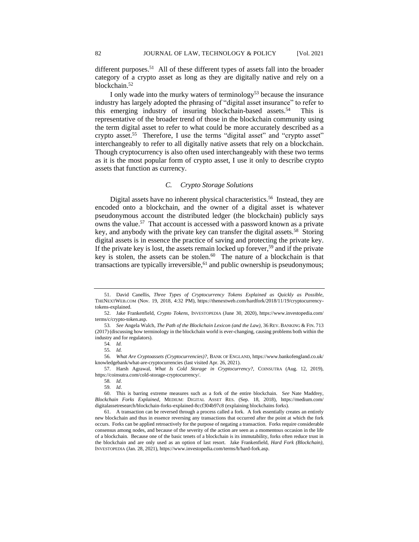different purposes.<sup>51</sup> All of these different types of assets fall into the broader category of a crypto asset as long as they are digitally native and rely on a blockchain.<sup>52</sup>

I only wade into the murky waters of terminology<sup>53</sup> because the insurance industry has largely adopted the phrasing of "digital asset insurance" to refer to this emerging industry of insuring blockchain-based assets.<sup>54</sup> This is representative of the broader trend of those in the blockchain community using the term digital asset to refer to what could be more accurately described as a crypto asset.<sup>55</sup> Therefore, I use the terms "digital asset" and "crypto asset" interchangeably to refer to all digitally native assets that rely on a blockchain. Though cryptocurrency is also often used interchangeably with these two terms as it is the most popular form of crypto asset, I use it only to describe crypto assets that function as currency.

# *C. Crypto Storage Solutions*

Digital assets have no inherent physical characteristics.<sup>56</sup> Instead, they are encoded onto a blockchain, and the owner of a digital asset is whatever pseudonymous account the distributed ledger (the blockchain) publicly says owns the value.<sup>57</sup> That account is accessed with a password known as a private key, and anybody with the private key can transfer the digital assets.<sup>58</sup> Storing digital assets is in essence the practice of saving and protecting the private key. If the private key is lost, the assets remain locked up forever,<sup>59</sup> and if the private key is stolen, the assets can be stolen. $60$  The nature of a blockchain is that transactions are typically irreversible,  $61$  and public ownership is pseudonymous;

<sup>51.</sup> David Canellis, *Three Types of Cryptocurrency Tokens Explained as Quickly as Possible*, THENEXTWEB.COM (Nov. 19, 2018, 4:32 PM), https://thenextweb.com/hardfork/2018/11/19/cryptocurrencytokens-explained.

<sup>52.</sup> Jake Frankenfield, *Crypto Tokens*, INVESTOPEDIA (June 30, 2020), https://www.investopedia.com/ terms/c/crypto-token.asp.

<sup>53</sup>*. See* Angela Walch, *The Path of the Blockchain Lexicon (and the Law),* 36 REV. BANKING & FIN. 713 (2017) (discussing how terminology in the blockchain world is ever-changing, causing problems both within the industry and for regulators).

<sup>54</sup>*. Id.*

<sup>55</sup>*. Id.*

<sup>56</sup>*. What Are Cryptoassets (Cryptocurrencies)?*, BANK OF ENGLAND, https://www.bankofengland.co.uk/ knowledgebank/what-are-cryptocurrencies (last visited Apr. 26, 2021).

<sup>57.</sup> Harsh Agrawal, *What Is Cold Storage in Cryptocurrency?,* COINSUTRA (Aug. 12, 2019), https://coinsutra.com/cold-storage-cryptocurrency/.

<sup>58</sup>*. Id*. 59*. Id*.

<sup>60.</sup> This is barring extreme measures such as a fork of the entire blockchain. S*ee* Nate Maddrey, *Blockchain Forks Explained*, MEDIUM: DIGITAL ASSET RES. (Sep. 18, 2018), https://medium.com/ digitalassetresearch/blockchain-forks-explained-8ccf304b97c8 (explaining blockchains forks).

<sup>61.</sup> A transaction can be reversed through a process called a fork. A fork essentially creates an entirely new blockchain and thus in essence reversing any transactions that occurred after the point at which the fork occurs. Forks can be applied retroactively for the purpose of negating a transaction. Forks require considerable consensus among nodes, and because of the severity of the action are seen as a momentous occasion in the life of a blockchain. Because one of the basic tenets of a blockchain is its immutability, forks often reduce trust in the blockchain and are only used as an option of last resort. Jake Frankenfield, *Hard Fork (Blockchain)*, INVESTOPEDIA (Jan. 28, 2021), https://www.investopedia.com/terms/h/hard-fork.asp.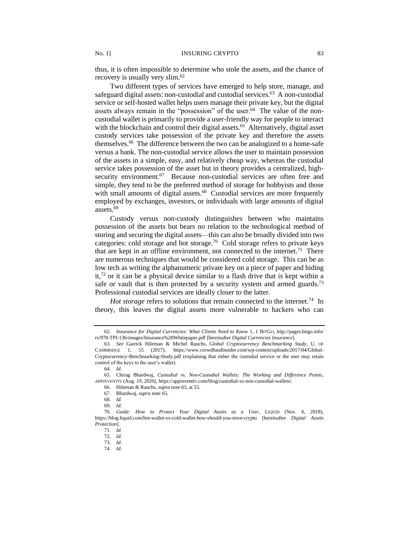thus, it is often impossible to determine who stole the assets, and the chance of recovery is usually very slim.<sup>62</sup>

Two different types of services have emerged to help store, manage, and safeguard digital assets: non-custodial and custodial services.<sup>63</sup> A non-custodial service or self-hosted wallet helps users manage their private key, but the digital assets always remain in the "possession" of the user.<sup>64</sup> The value of the noncustodial wallet is primarily to provide a user-friendly way for people to interact with the blockchain and control their digital assets.<sup>65</sup> Alternatively, digital asset custody services take possession of the private key and therefore the assets themselves.<sup>66</sup> The difference between the two can be analogized to a home-safe versus a bank. The non-custodial service allows the user to maintain possession of the assets in a simple, easy, and relatively cheap way, whereas the custodial service takes possession of the asset but in theory provides a centralized, highsecurity environment.<sup>67</sup> Because non-custodial services are often free and simple, they tend to be the preferred method of storage for hobbyists and those with small amounts of digital assets.<sup>68</sup> Custodial services are more frequently employed by exchanges, investors, or individuals with large amounts of digital assets.<sup>69</sup>

Custody versus non-custody distinguishes between who maintains possession of the assets but bears no relation to the technological method of storing and securing the digital assets—this can also be broadly divided into two categories: cold storage and hot storage.<sup>70</sup> Cold storage refers to private keys that are kept in an offline environment, not connected to the internet.<sup>71</sup> There are numerous techniques that would be considered cold storage. This can be as low tech as writing the alphanumeric private key on a piece of paper and hiding it, $72$  or it can be a physical device similar to a flash drive that is kept within a safe or vault that is then protected by a security system and armed guards.<sup>73</sup> Professional custodial services are ideally closer to the latter.

*Hot storage* refers to solutions that remain connected to the internet.<sup>74</sup> In theory, this leaves the digital assets more vulnerable to hackers who can

66. Hileman & Rauchs, *supra* note 63, at 55.

74*. Id.*

<sup>62</sup>*. Insurance for Digital Currencies: What Clients Need to Know* 1, 1 BITGO, http://pages.bitgo.info/ rs/978-TPI-136/images/Insurance%20Whitepaper.pdf [hereinafter *Digital Currencies Insurance*].

<sup>63.</sup> *See* Garrick Hileman & Michel Rauchs, *Global Cryptocurrency Benchmarking Study*, U. OF CAMBRIDGE 1, 55 (2017), https://www.crowdfundinsider.com/wp-content/uploads/2017/04/Global-Cryptocurrency-Benchmarking-Study.pdf (explaining that either the custodial service or the user may retain control of the keys to the user's wallet).

<sup>64</sup>*. Id.*

<sup>65.</sup> Chirag Bhardwaj, *Custodial vs. Non-Custodial Wallets: The Working and Difference Points*, APPINVENTIV (Aug. 19, 2020), https://appinventiv.com/blog/custodial-vs-non-custodial-wallets/.

<sup>67.</sup> Bhardwaj, *supra* note 65.

<sup>68</sup>*. Id.*

<sup>69</sup>*. Id.*

<sup>70</sup>*. Guide: How to Protect Your Digital Assets as a User*, LIQUID (Nov. 6, 2018), https://blog.liquid.com/hot-wallet-vs-cold-wallet-how-should-you-store-crypto [hereinafter *Digital Assets Protection*].

<sup>71</sup>*. Id.*

<sup>72</sup>*. Id*.

<sup>73</sup>*. Id*.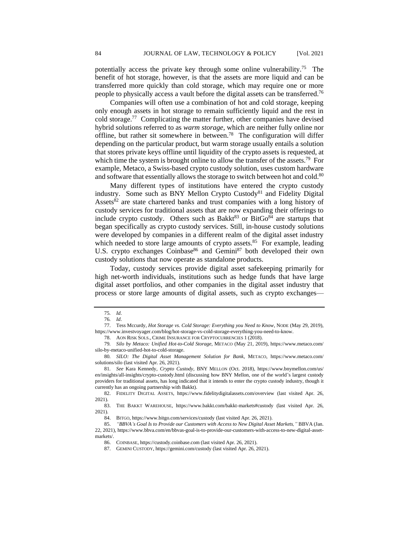potentially access the private key through some online vulnerability.<sup>75</sup> The benefit of hot storage, however, is that the assets are more liquid and can be transferred more quickly than cold storage, which may require one or more people to physically access a vault before the digital assets can be transferred.<sup>76</sup>

Companies will often use a combination of hot and cold storage, keeping only enough assets in hot storage to remain sufficiently liquid and the rest in cold storage.<sup>77</sup> Complicating the matter further, other companies have devised hybrid solutions referred to as *warm storage,* which are neither fully online nor offline, but rather sit somewhere in between.<sup>78</sup> The configuration will differ depending on the particular product, but warm storage usually entails a solution that stores private keys offline until liquidity of the crypto assets is requested, at which time the system is brought online to allow the transfer of the assets.<sup>79</sup> For example, Metaco, a Swiss-based crypto custody solution, uses custom hardware and software that essentially allows the storage to switch between hot and cold.<sup>80</sup>

Many different types of institutions have entered the crypto custody industry. Some such as BNY Mellon Crypto Custody<sup>81</sup> and Fidelity Digital Assets $82$  are state chartered banks and trust companies with a long history of custody services for traditional assets that are now expanding their offerings to include crypto custody. Others such as Bakkt<sup>83</sup> or Bit $Go<sup>84</sup>$  are startups that began specifically as crypto custody services. Still, in-house custody solutions were developed by companies in a different realm of the digital asset industry which needed to store large amounts of crypto assets.<sup>85</sup> For example, leading U.S. crypto exchanges Coinbase<sup>86</sup> and Gemini<sup>87</sup> both developed their own custody solutions that now operate as standalone products.

Today, custody services provide digital asset safekeeping primarily for high net-worth individuals, institutions such as hedge funds that have large digital asset portfolios, and other companies in the digital asset industry that process or store large amounts of digital assets, such as crypto exchanges—

78. AON RISK SOLS., CRIME INSURANCE FOR CRYPTOCURRENCIES 1 (2018).

<sup>75</sup>*. Id*.

<sup>76</sup>*. Id*.

<sup>77.</sup> Tess Mccurdy, *Hot Storage vs. Cold Storage: Everything you Need to Know*, NODE (May 29, 2019), https://www.investvoyager.com/blog/hot-storage-vs-cold-storage-everything-you-need-to-know.

<sup>79</sup>*. Silo by Metaco: Unified Hot-to-Cold Storage*, METACO (May 21, 2019), https://www.metaco.com/ silo-by-metaco-unified-hot-to-cold-storage.

<sup>80</sup>*. SILO: The Digital Asset Management Solution for Bank*, METACO, https://www.metaco.com/ solutions/silo (last visited Apr. 26, 2021).

<sup>81</sup>*. See* Kara Kennedy, *Crypto Custody,* BNY MELLON (Oct. 2018), https://www.bnymellon.com/us/ en/insights/all-insights/crypto-custody.html (discussing how BNY Mellon, one of the world's largest custody providers for traditional assets, has long indicated that it intends to enter the crypto custody industry, though it currently has an ongoing partnership with Bakkt).

<sup>82.</sup> FIDELITY DIGITAL ASSETS, https://www.fidelitydigitalassets.com/overview (last visited Apr. 26, 2021).

<sup>83.</sup> THE BAKKT WAREHOUSE, https://www.bakkt.com/bakkt-markets#custody (last visited Apr. 26, 2021).

<sup>84.</sup> BITGO, https://www.bitgo.com/services/custody (last visited Apr. 26, 2021).

<sup>85.</sup> *"BBVA's Goal Is to Provide our Customers with Access to New Digital Asset Markets,"* BBVA (Jan. 22, 2021), https://www.bbva.com/en/bbvas-goal-is-to-provide-our-customers-with-access-to-new-digital-assetmarkets/.

<sup>86.</sup> COINBASE, https://custody.coinbase.com (last visited Apr. 26, 2021).

<sup>87.</sup> GEMINI CUSTODY, https://gemini.com/custody (last visited Apr. 26, 2021).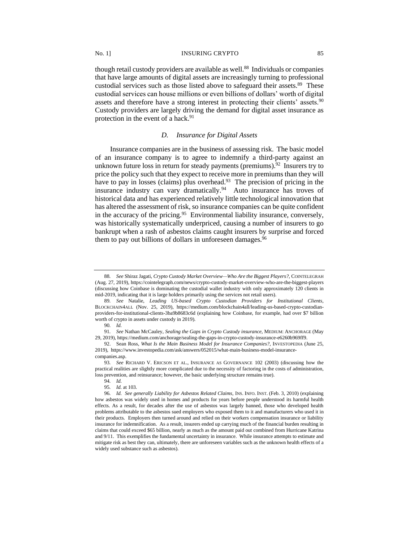though retail custody providers are available as well.<sup>88</sup> Individuals or companies that have large amounts of digital assets are increasingly turning to professional custodial services such as those listed above to safeguard their assets.<sup>89</sup> These custodial services can house millions or even billions of dollars' worth of digital assets and therefore have a strong interest in protecting their clients' assets.<sup>90</sup> Custody providers are largely driving the demand for digital asset insurance as protection in the event of a hack.<sup>91</sup>

# *D. Insurance for Digital Assets*

Insurance companies are in the business of assessing risk. The basic model of an insurance company is to agree to indemnify a third-party against an unknown future loss in return for steady payments (premiums). $92$  Insurers try to price the policy such that they expect to receive more in premiums than they will have to pay in losses (claims) plus overhead.<sup>93</sup> The precision of pricing in the insurance industry can vary dramatically.<sup>94</sup> Auto insurance has troves of historical data and has experienced relatively little technological innovation that has altered the assessment of risk, so insurance companies can be quite confident in the accuracy of the pricing.<sup>95</sup> Environmental liability insurance, conversely, was historically systematically underpriced, causing a number of insurers to go bankrupt when a rash of asbestos claims caught insurers by surprise and forced them to pay out billions of dollars in unforeseen damages.<sup>96</sup>

<sup>88</sup>*. See* Shiraz Jagati, *Crypto Custody Market Overview—Who Are the Biggest Players?*, COINTELEGRAH (Aug. 27, 2019), https://cointelegraph.com/news/crypto-custody-market-overview-who-are-the-biggest-players (discussing how Coinbase is dominating the custodial wallet industry with only approximately 120 clients in mid-2019, indicating that it is large holders primarily using the services not retail users).

<sup>89</sup>*. See* Natalie, *Leading US-based Crypto Custodian Providers for Institutional Clients*, BLOCKCHAIN4ALL (Nov. 25, 2019), https://medium.com/blockchain4all/leading-us-based-crypto-custodianproviders-for-institutional-clients-3ba9b8683c6d (explaining how Coinbase, for example, had over \$7 billion worth of crypto in assets under custody in 2019).

<sup>90</sup>*. Id.*

<sup>91</sup>*. See* Nathan McCauley, *Sealing the Gaps in Crypto Custody insurance*, MEDIUM: ANCHORAGE (May 29, 2019), https://medium.com/anchorage/sealing-the-gaps-in-crypto-custody-insurance-e6260b969ff9.

<sup>92.</sup> Sean Ross, *What Is the Main Business Model for Insurance Companies?,* INVESTOPEDIA (June 25, 2019), https://www.investopedia.com/ask/answers/052015/what-main-business-model-insurancecompanies.asp.

<sup>93</sup>*. See* RICHARD V. ERICSON ET AL., INSURANCE AS GOVERNANCE 102 (2003) (discussing how the practical realities are slightly more complicated due to the necessity of factoring in the costs of administration, loss prevention, and reinsurance; however, the basic underlying structure remains true).

<sup>94</sup>*. Id.*

<sup>95</sup>*. Id.* at 103.

<sup>96</sup>*. Id. See generally Liability for Asbestos Related Claims*, INS. INFO. INST. (Feb. 3, 2010) (explaining how asbestos was widely used in homes and products for years before people understood its harmful health effects. As a result, for decades after the use of asbestos was largely banned, those who developed health problems attributable to the asbestos sued employers who exposed them to it and manufacturers who used it in their products. Employers then turned around and relied on their workers compensation insurance or liability insurance for indemnification. As a result, insurers ended up carrying much of the financial burden resulting in claims that could exceed \$65 billion, nearly as much as the amount paid out combined from Hurricane Katrina and 9/11. This exemplifies the fundamental uncertainty in insurance. While insurance attempts to estimate and mitigate risk as best they can, ultimately, there are unforeseen variables such as the unknown health effects of a widely used substance such as asbestos).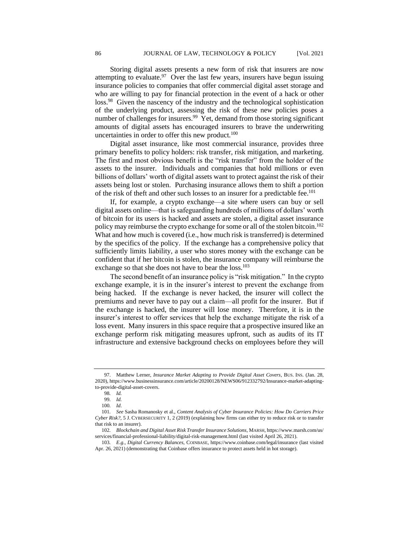Storing digital assets presents a new form of risk that insurers are now attempting to evaluate.<sup>97</sup> Over the last few years, insurers have begun issuing insurance policies to companies that offer commercial digital asset storage and who are willing to pay for financial protection in the event of a hack or other loss.<sup>98</sup> Given the nascency of the industry and the technological sophistication of the underlying product, assessing the risk of these new policies poses a number of challenges for insurers.<sup>99</sup> Yet, demand from those storing significant amounts of digital assets has encouraged insurers to brave the underwriting uncertainties in order to offer this new product.<sup>100</sup>

Digital asset insurance, like most commercial insurance, provides three primary benefits to policy holders: risk transfer, risk mitigation, and marketing. The first and most obvious benefit is the "risk transfer" from the holder of the assets to the insurer. Individuals and companies that hold millions or even billions of dollars' worth of digital assets want to protect against the risk of their assets being lost or stolen. Purchasing insurance allows them to shift a portion of the risk of theft and other such losses to an insurer for a predictable fee.<sup>101</sup>

If, for example, a crypto exchange—a site where users can buy or sell digital assets online—that is safeguarding hundreds of millions of dollars' worth of bitcoin for its users is hacked and assets are stolen, a digital asset insurance policy may reimburse the crypto exchange for some or all of the stolen bitcoin.<sup>102</sup> What and how much is covered (i.e., how much risk is transferred) is determined by the specifics of the policy. If the exchange has a comprehensive policy that sufficiently limits liability, a user who stores money with the exchange can be confident that if her bitcoin is stolen, the insurance company will reimburse the exchange so that she does not have to bear the loss.<sup>103</sup>

The second benefit of an insurance policy is "risk mitigation." In the crypto exchange example, it is in the insurer's interest to prevent the exchange from being hacked. If the exchange is never hacked, the insurer will collect the premiums and never have to pay out a claim—all profit for the insurer. But if the exchange is hacked, the insurer will lose money. Therefore, it is in the insurer's interest to offer services that help the exchange mitigate the risk of a loss event. Many insurers in this space require that a prospective insured like an exchange perform risk mitigating measures upfront, such as audits of its IT infrastructure and extensive background checks on employees before they will

<sup>97.</sup> Matthew Lerner, *Insurance Market Adapting to Provide Digital Asset Covers*, BUS. INS. (Jan. 28, 2020), https://www.businessinsurance.com/article/20200128/NEWS06/912332792/Insurance-market-adaptingto-provide-digital-asset-covers.

<sup>98</sup>*. Id.*

<sup>99</sup>*. Id.*

<sup>100</sup>*. Id*.

<sup>101</sup>*. See* Sasha Romanosky et al., *Content Analysis of Cyber Insurance Policies: How Do Carriers Price Cyber Risk?*, 5 J. CYBERSECURITY 1, 2 (2019) (explaining how firms can either try to reduce risk or to transfer that risk to an insurer).

<sup>102</sup>*. Blockchain and Digital Asset Risk Transfer Insurance Solutions*, MARSH, https://www.marsh.com/us/ services/financial-professional-liability/digital-risk-management.html (last visited April 26, 2021).

<sup>103</sup>*. E.g., Digital Currency Balances,* COINBASE, https://www.coinbase.com/legal/insurance (last visited Apr. 26, 2021) (demonstrating that Coinbase offers insurance to protect assets held in hot storage).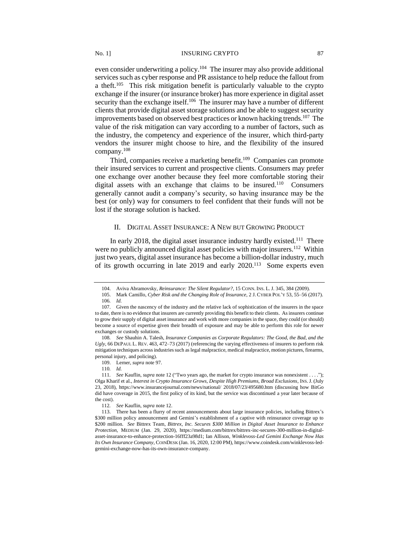even consider underwriting a policy.<sup>104</sup> The insurer may also provide additional services such as cyber response and PR assistance to help reduce the fallout from a theft.<sup>105</sup> This risk mitigation benefit is particularly valuable to the crypto exchange if the insurer (or insurance broker) has more experience in digital asset security than the exchange itself.<sup>106</sup> The insurer may have a number of different clients that provide digital asset storage solutions and be able to suggest security improvements based on observed best practices or known hacking trends.<sup>107</sup> The value of the risk mitigation can vary according to a number of factors, such as the industry, the competency and experience of the insurer, which third-party vendors the insurer might choose to hire, and the flexibility of the insured company.<sup>108</sup>

Third, companies receive a marketing benefit.<sup>109</sup> Companies can promote their insured services to current and prospective clients. Consumers may prefer one exchange over another because they feel more comfortable storing their digital assets with an exchange that claims to be insured.<sup>110</sup> Consumers generally cannot audit a company's security, so having insurance may be the best (or only) way for consumers to feel confident that their funds will not be lost if the storage solution is hacked.

# II. DIGITAL ASSET INSURANCE: A NEW BUT GROWING PRODUCT

In early 2018, the digital asset insurance industry hardly existed.<sup>111</sup> There were no publicly announced digital asset policies with major insurers.<sup>112</sup> Within just two years, digital asset insurance has become a billion-dollar industry, much of its growth occurring in late 2019 and early 2020.<sup>113</sup> Some experts even

<sup>104.</sup> Aviva Abramovsky, *Reinsurance: The Silent Regulator?*, 15 CONN. INS. L.J. 345, 384 (2009).

<sup>105.</sup> Mark Camillo, *Cyber Risk and the Changing Role of Insurance*, 2 J. CYBER POL'Y 53, 55–56 (2017). 106*. Id.*

<sup>107.</sup> Given the nascency of the industry and the relative lack of sophistication of the insurers in the space to date, there is no evidence that insurers are currently providing this benefit to their clients. As insurers continue to grow their supply of digital asset insurance and work with more companies in the space, they could (or should) become a source of expertise given their breadth of exposure and may be able to perform this role for newer exchanges or custody solutions.

<sup>108</sup>*. See* Shauhin A. Talesh, *Insurance Companies as Corporate Regulators: The Good, the Bad, and the Ugly*, 66 DEPAUL L. REV. 463, 472–73 (2017) (referencing the varying effectiveness of insurers to perform risk mitigation techniques across industries such as legal malpractice, medical malpractice, motion pictures, firearms, personal injury, and policing).

<sup>109.</sup> Lerner, *supra* note 97.

<sup>110</sup>*. Id.*

<sup>111</sup>*. See* Kauflin, *supra* note 12 ("Two years ago, the market for crypto insurance was nonexistent . . . ."); Olga Kharif et al., *Interest in Crypto Insurance Grows, Despite High Premiums, Broad Exclusions*, INS.J. (July 23, 2018), https://www.insurancejournal.com/news/national/ 2018/07/23/495680.htm (discussing how BitGo did have coverage in 2015, the first policy of its kind, but the service was discontinued a year later because of the cost).

<sup>112</sup>*. See* Kauflin, *supra* note 12.

<sup>113.</sup> There has been a flurry of recent announcements about large insurance policies, including Bittrex's \$300 million policy announcement and Gemini's establishment of a captive with reinsurance coverage up to \$200 million. *See* Bittrex Team, *Bittrex, Inc. Secures \$300 Million in Digital Asset Insurance to Enhance Protection*, MEDIUM (Jan. 29, 2020), https://medium.com/bittrex/bittrex-inc-secures-300-million-in-digitalasset-insurance-to-enhance-protection-16fff23a98d1; Ian Allison, *Winklevoss-Led Gemini Exchange Now Has Its Own Insurance Company*, COINDESK (Jan. 16, 2020, 12:00 PM), https://www.coindesk.com/winklevoss-ledgemini-exchange-now-has-its-own-insurance-company.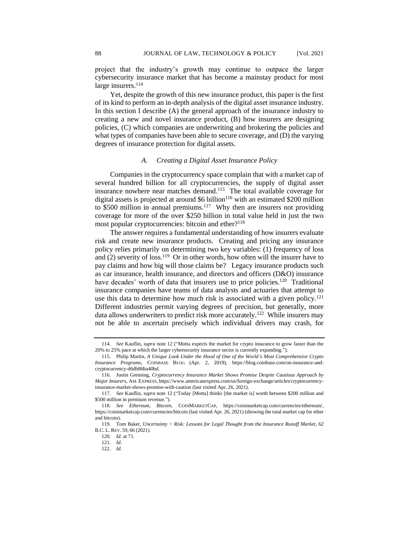project that the industry's growth may continue to outpace the larger cybersecurity insurance market that has become a mainstay product for most large insurers.<sup>114</sup>

Yet, despite the growth of this new insurance product, this paper is the first of its kind to perform an in-depth analysis of the digital asset insurance industry. In this section I describe (A) the general approach of the insurance industry to creating a new and novel insurance product, (B) how insurers are designing policies, (C) which companies are underwriting and brokering the policies and what types of companies have been able to secure coverage, and (D) the varying degrees of insurance protection for digital assets.

## *A. Creating a Digital Asset Insurance Policy*

Companies in the cryptocurrency space complain that with a market cap of several hundred billion for all cryptocurrencies, the supply of digital asset insurance nowhere near matches demand.<sup>115</sup> The total available coverage for digital assets is projected at around \$6 billion<sup>116</sup> with an estimated \$200 million to \$500 million in annual premiums.<sup>117</sup> Why then are insurers not providing coverage for more of the over \$250 billion in total value held in just the two most popular cryptocurrencies: bitcoin and ether?<sup>118</sup>

The answer requires a fundamental understanding of how insurers evaluate risk and create new insurance products. Creating and pricing any insurance policy relies primarily on determining two key variables: (1) frequency of loss and  $(2)$  severity of loss.<sup>119</sup> Or in other words, how often will the insurer have to pay claims and how big will those claims be? Legacy insurance products such as car insurance, health insurance, and directors and officers (D&O) insurance have decades' worth of data that insurers use to price policies.<sup>120</sup> Traditional insurance companies have teams of data analysts and actuaries that attempt to use this data to determine how much risk is associated with a given policy.<sup>121</sup> Different industries permit varying degrees of precision, but generally, more data allows underwriters to predict risk more accurately.<sup>122</sup> While insurers may not be able to ascertain precisely which individual drivers may crash, for

<sup>114.</sup> *See* Kauflin, *supra* note 12 ("Motta expects the market for crypto insurance to grow faster than the 20% to 25% pace at which the larger cybersecurity insurance sector is currently expanding.").

<sup>115.</sup> Philip Martin, *A Unique Look Under the Hood of One of the World's Most Comprehensive Crypto Insurance Programs*, COINBASE BLOG (Apr. 2, 2019), https://blog.coinbase.com/on-insurance-andcryptocurrency-d6db86ba40bd.

<sup>116.</sup> Justin Grensing, *Cryptocurrency Insurance Market Shows Promise Despite Cautious Approach by Major Insurers*, AM. EXPRESS, https://www.americanexpress.com/us/foreign-exchange/articles/cryptocurrencyinsurance-market-shows-promise-with-caution (last visited Apr. 26, 2021).

<sup>117.</sup> *See* Kauflin, *supra* note 12 ("Today [Motta] thinks [the market is] worth between \$200 million and \$500 million in premium revenue.").

<sup>118</sup>*. See Ethereum*, *Bitcoin,* COINMARKETCAP, https://coinmarketcap.com/currencies/ethereum/, https://coinmarketcap.com/currencies/bitcoin (last visited Apr. 26, 2021) (showing the total market cap for ether and bitcoin).

<sup>119.</sup> Tom Baker, *Uncertainty > Risk: Lessons for Legal Thought from the Insurance Runoff Market,* 62 B.C. L. REV. 59, 66 (2021).

<sup>120</sup>*. Id*. at 71.

<sup>121</sup>*. Id*.

<sup>122</sup>*. Id.*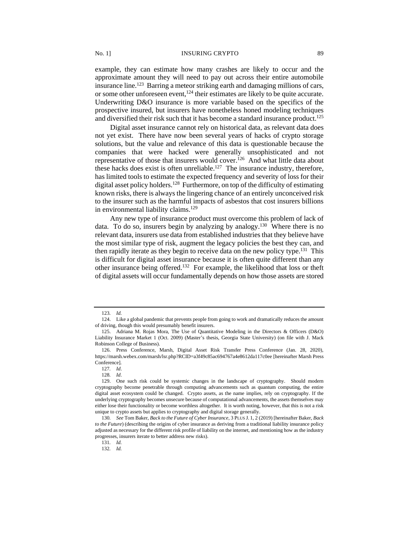#### No. 1] **INSURING CRYPTO** 89

example, they can estimate how many crashes are likely to occur and the approximate amount they will need to pay out across their entire automobile insurance line.<sup>123</sup> Barring a meteor striking earth and damaging millions of cars, or some other unforeseen event,<sup>124</sup> their estimates are likely to be quite accurate. Underwriting D&O insurance is more variable based on the specifics of the prospective insured, but insurers have nonetheless honed modeling techniques and diversified their risk such that it has become a standard insurance product.<sup>125</sup>

Digital asset insurance cannot rely on historical data, as relevant data does not yet exist. There have now been several years of hacks of crypto storage solutions, but the value and relevance of this data is questionable because the companies that were hacked were generally unsophisticated and not representative of those that insurers would cover.<sup>126</sup> And what little data about these hacks does exist is often unreliable.<sup>127</sup> The insurance industry, therefore, has limited tools to estimate the expected frequency and severity of loss for their digital asset policy holders.<sup>128</sup> Furthermore, on top of the difficulty of estimating known risks, there is always the lingering chance of an entirely unconceived risk to the insurer such as the harmful impacts of asbestos that cost insurers billions in environmental liability claims.<sup>129</sup>

Any new type of insurance product must overcome this problem of lack of data. To do so, insurers begin by analyzing by analogy.<sup>130</sup> Where there is no relevant data, insurers use data from established industries that they believe have the most similar type of risk, augment the legacy policies the best they can, and then rapidly iterate as they begin to receive data on the new policy type.<sup>131</sup> This is difficult for digital asset insurance because it is often quite different than any other insurance being offered.<sup>132</sup> For example, the likelihood that loss or theft of digital assets will occur fundamentally depends on how those assets are stored

<sup>123</sup>*. Id.*

<sup>124.</sup> Like a global pandemic that prevents people from going to work and dramatically reduces the amount of driving, though this would presumably benefit insurers.

<sup>125.</sup> Adriana M. Rojas Mora, The Use of Quantitative Modeling in the Directors & Officers (D&O) Liability Insurance Market 1 (Oct. 2009) (Master's thesis, Georgia State University) (on file with J. Mack Robinson College of Business).

<sup>126.</sup> Press Conference, Marsh, Digital Asset Risk Transfer Press Conference (Jan. 28, 2020), https://marsh.webex.com/marsh/lsr.php?RCID=a3f49c85ac694767a4e8612da117c0ee [hereinafter Marsh Press Conference].

<sup>127</sup>*. Id*.

<sup>128</sup>*. Id*.

<sup>129.</sup> One such risk could be systemic changes in the landscape of cryptography. Should modern cryptography become penetrable through computing advancements such as quantum computing, the entire digital asset ecosystem could be changed. Crypto assets, as the name implies, rely on cryptography. If the underlying cryptography becomes unsecure because of computational advancements, the assets themselves may either lose their functionality or become worthless altogether. It is worth noting, however, that this is not a risk unique to crypto assets but applies to cryptography and digital storage generally.

<sup>130</sup>*. See* Tom Baker, *Back to the Future of Cyber Insurance*, 3 PLUS J. 1, 2 (2019) [hereinafter Baker, *Back to the Future*) (describing the origins of cyber insurance as deriving from a traditional liability insurance policy adjusted as necessary for the different risk profile of liability on the internet, and mentioning how as the industry progresses, insurers iterate to better address new risks).

<sup>131</sup>*. Id.*

<sup>132</sup>*. Id.*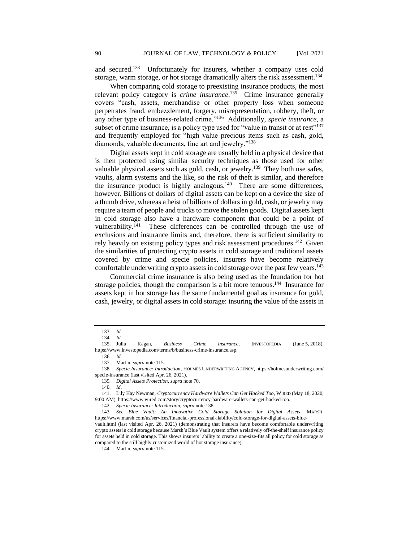and secured.<sup>133</sup> Unfortunately for insurers, whether a company uses cold storage, warm storage, or hot storage dramatically alters the risk assessment.<sup>134</sup>

When comparing cold storage to preexisting insurance products, the most relevant policy category is *crime insurance*. 135 Crime insurance generally covers "cash, assets, merchandise or other property loss when someone perpetrates fraud, embezzlement, forgery, misrepresentation, robbery, theft, or any other type of business-related crime."<sup>136</sup> Additionally, *specie insurance*, a subset of crime insurance, is a policy type used for "value in transit or at rest"<sup>137</sup> and frequently employed for "high value precious items such as cash, gold, diamonds, valuable documents, fine art and jewelry."<sup>138</sup>

Digital assets kept in cold storage are usually held in a physical device that is then protected using similar security techniques as those used for other valuable physical assets such as gold, cash, or jewelry.<sup>139</sup> They both use safes, vaults, alarm systems and the like, so the risk of theft is similar, and therefore the insurance product is highly analogous. $140$  There are some differences, however. Billions of dollars of digital assets can be kept on a device the size of a thumb drive, whereas a heist of billions of dollars in gold, cash, or jewelry may require a team of people and trucks to move the stolen goods. Digital assets kept in cold storage also have a hardware component that could be a point of vulnerability.<sup>141</sup> These differences can be controlled through the use of exclusions and insurance limits and, therefore, there is sufficient similarity to rely heavily on existing policy types and risk assessment procedures.<sup>142</sup> Given the similarities of protecting crypto assets in cold storage and traditional assets covered by crime and specie policies, insurers have become relatively comfortable underwriting crypto assets in cold storage over the past few years.<sup>143</sup>

Commercial crime insurance is also being used as the foundation for hot storage policies, though the comparison is a bit more tenuous.<sup>144</sup> Insurance for assets kept in hot storage has the same fundamental goal as insurance for gold, cash, jewelry, or digital assets in cold storage: insuring the value of the assets in

136*. Id.*

142*. Specie Insurance: Introduction*, *supra* note 138.

<sup>133</sup>*. Id.* 134*. Id.*

<sup>135.</sup> Julia Kagan, *Business Crime Insurance*, INVESTOPEDIA (June 5, 2018), https://www.investopedia.com/terms/b/business-crime-insurance.asp.

<sup>137.</sup> Martin, *supra* note 115.

<sup>138</sup>*. Specie Insurance: Introduction*, HOLMES UNDERWRITING AGENCY, https://holmesunderwriting.com/ specie-insurance (last visited Apr. 26, 2021).

<sup>139</sup>*. Digital Assets Protection, supra* note 70.

<sup>140</sup>*. Id*.

<sup>141.</sup> Lily Hay Newman, *Cryptocurrency Hardware Wallets Can Get Hacked Too,* WIRED (May 18, 2020, 9:00 AM), https://www.wired.com/story/cryptocurrency-hardware-wallets-can-get-hacked-too.

<sup>143</sup>*. See Blue Vault: An Innovative Cold Storage Solution for Digital Assets*, MARSH, https://www.marsh.com/us/services/financial-professional-liability/cold-storage-for-digital-assets-blue-

vault.html (last visited Apr. 26, 2021) (demonstrating that insurers have become comfortable underwriting crypto assets in cold storage because Marsh's Blue Vault system offers a relatively off-the-shelf insurance policy for assets held in cold storage. This shows insurers' ability to create a one-size-fits all policy for cold storage as compared to the still highly customized world of hot storage insurance).

<sup>144.</sup> Martin, *supra* note 115.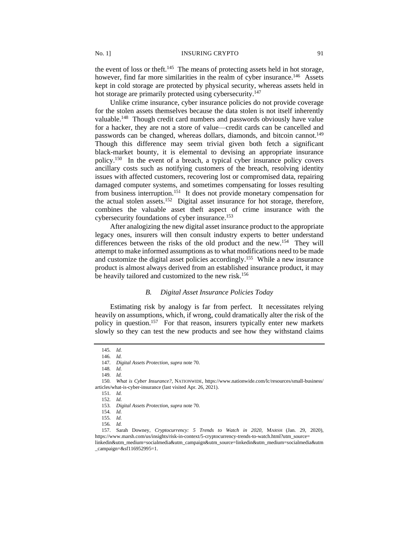the event of loss or theft.<sup>145</sup> The means of protecting assets held in hot storage, however, find far more similarities in the realm of cyber insurance.<sup>146</sup> Assets kept in cold storage are protected by physical security, whereas assets held in hot storage are primarily protected using cybersecurity.<sup>147</sup>

Unlike crime insurance, cyber insurance policies do not provide coverage for the stolen assets themselves because the data stolen is not itself inherently valuable.<sup>148</sup> Though credit card numbers and passwords obviously have value for a hacker, they are not a store of value—credit cards can be cancelled and passwords can be changed, whereas dollars, diamonds, and bitcoin cannot.<sup>149</sup> Though this difference may seem trivial given both fetch a significant black-market bounty, it is elemental to devising an appropriate insurance policy.<sup>150</sup> In the event of a breach, a typical cyber insurance policy covers ancillary costs such as notifying customers of the breach, resolving identity issues with affected customers, recovering lost or compromised data, repairing damaged computer systems, and sometimes compensating for losses resulting from business interruption.<sup>151</sup> It does not provide monetary compensation for the actual stolen assets.<sup>152</sup> Digital asset insurance for hot storage, therefore, combines the valuable asset theft aspect of crime insurance with the cybersecurity foundations of cyber insurance.<sup>153</sup>

After analogizing the new digital asset insurance product to the appropriate legacy ones, insurers will then consult industry experts to better understand differences between the risks of the old product and the new.<sup>154</sup> They will attempt to make informed assumptions as to what modifications need to be made and customize the digital asset policies accordingly.<sup>155</sup> While a new insurance product is almost always derived from an established insurance product, it may be heavily tailored and customized to the new risk.<sup>156</sup>

### *B. Digital Asset Insurance Policies Today*

Estimating risk by analogy is far from perfect. It necessitates relying heavily on assumptions, which, if wrong, could dramatically alter the risk of the policy in question.<sup>157</sup> For that reason, insurers typically enter new markets slowly so they can test the new products and see how they withstand claims

<sup>145</sup>*. Id.* 146*. Id.*

<sup>147</sup>*. Digital Assets Protection, supra* note 70.

<sup>148</sup>*. Id.* 149*. Id.*

<sup>150</sup>*. What is Cyber Insurance?*, NATIONWIDE, https://www.nationwide.com/lc/resources/small-business/ articles/what-is-cyber-insurance (last visited Apr. 26, 2021).

<sup>151</sup>*. Id.* 152*. Id.*

<sup>153</sup>*. Digital Assets Protection*, *supra* note 70.

<sup>154</sup>*. Id.*

<sup>155</sup>*. Id.*

<sup>156</sup>*. Id.*

<sup>157.</sup> Sarah Downey, *Cryptocurrency: 5 Trends to Watch in 2020*, MARSH (Jan. 29, 2020), https://www.marsh.com/us/insights/risk-in-context/5-cryptocurrency-trends-to-watch.html?utm\_source= linkedin&utm\_medium=socialmedia&utm\_campaign&utm\_source=linkedin&utm\_medium=socialmedia&utm \_campaign=&sf116952995=1.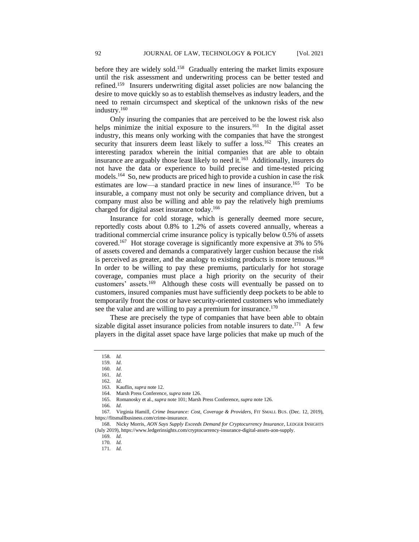before they are widely sold.<sup>158</sup> Gradually entering the market limits exposure until the risk assessment and underwriting process can be better tested and refined.<sup>159</sup> Insurers underwriting digital asset policies are now balancing the desire to move quickly so as to establish themselves as industry leaders, and the need to remain circumspect and skeptical of the unknown risks of the new industry.<sup>160</sup>

Only insuring the companies that are perceived to be the lowest risk also helps minimize the initial exposure to the insurers.<sup>161</sup> In the digital asset industry, this means only working with the companies that have the strongest security that insurers deem least likely to suffer a  $loss$ <sup>162</sup> This creates an interesting paradox wherein the initial companies that are able to obtain insurance are arguably those least likely to need it.<sup>163</sup> Additionally, insurers do not have the data or experience to build precise and time-tested pricing models.<sup>164</sup> So, new products are priced high to provide a cushion in case the risk estimates are low—a standard practice in new lines of insurance.<sup>165</sup> To be insurable, a company must not only be security and compliance driven, but a company must also be willing and able to pay the relatively high premiums charged for digital asset insurance today.<sup>166</sup>

Insurance for cold storage, which is generally deemed more secure, reportedly costs about 0.8% to 1.2% of assets covered annually, whereas a traditional commercial crime insurance policy is typically below 0.5% of assets covered.<sup>167</sup> Hot storage coverage is significantly more expensive at 3% to 5% of assets covered and demands a comparatively larger cushion because the risk is perceived as greater, and the analogy to existing products is more tenuous.<sup>168</sup> In order to be willing to pay these premiums, particularly for hot storage coverage, companies must place a high priority on the security of their customers' assets.<sup>169</sup> Although these costs will eventually be passed on to customers, insured companies must have sufficiently deep pockets to be able to temporarily front the cost or have security-oriented customers who immediately see the value and are willing to pay a premium for insurance.<sup>170</sup>

These are precisely the type of companies that have been able to obtain sizable digital asset insurance policies from notable insurers to date.<sup>171</sup> A few players in the digital asset space have large policies that make up much of the

<sup>158</sup>*. Id.*

<sup>159</sup>*. Id*.

<sup>160</sup>*. Id*.

<sup>161</sup>*. Id*.

<sup>162</sup>*. Id*. 163. Kauflin, *supra* note 12.

<sup>164.</sup> Marsh Press Conference, *supra* note 126.

<sup>165.</sup> Romanosky et al., *supra* note 101; Marsh Press Conference, *supra* note 126.

<sup>166</sup>*. Id*.

<sup>167</sup>*.* Virginia Hamill, *Crime Insurance: Cost, Coverage & Providers*, FIT SMALL BUS. (Dec. 12, 2019), https://fitsmallbusiness.com/crime-insurance.

<sup>168.</sup> Nicky Morris, *AON Says Supply Exceeds Demand for Cryptocurrency Insurance*, LEDGER INSIGHTS (July 2019), https://www.ledgerinsights.com/cryptocurrency-insurance-digital-assets-aon-supply.

<sup>169</sup>*. Id*.

<sup>170</sup>*. Id*.

<sup>171</sup>*. Id*.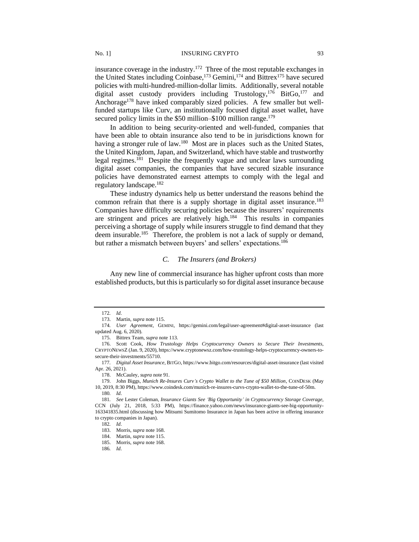### No. 1] INSURING CRYPTO 93

insurance coverage in the industry.<sup>172</sup> Three of the most reputable exchanges in the United States including Coinbase,<sup>173</sup> Gemini,<sup>174</sup> and Bittrex<sup>175</sup> have secured policies with multi-hundred-million-dollar limits. Additionally, several notable digital asset custody providers including Trustology,<sup>176</sup> BitGo,<sup>177</sup> and Anchorage<sup>178</sup> have inked comparably sized policies. A few smaller but wellfunded startups like Curv, an institutionally focused digital asset wallet, have secured policy limits in the \$50 million–\$100 million range.<sup>179</sup>

In addition to being security-oriented and well-funded, companies that have been able to obtain insurance also tend to be in jurisdictions known for having a stronger rule of law.<sup>180</sup> Most are in places such as the United States, the United Kingdom, Japan, and Switzerland, which have stable and trustworthy legal regimes.<sup>181</sup> Despite the frequently vague and unclear laws surrounding digital asset companies, the companies that have secured sizable insurance policies have demonstrated earnest attempts to comply with the legal and regulatory landscape.<sup>182</sup>

These industry dynamics help us better understand the reasons behind the common refrain that there is a supply shortage in digital asset insurance.<sup>183</sup> Companies have difficulty securing policies because the insurers' requirements are stringent and prices are relatively high.<sup>184</sup> This results in companies perceiving a shortage of supply while insurers struggle to find demand that they deem insurable.<sup>185</sup> Therefore, the problem is not a lack of supply or demand, but rather a mismatch between buyers' and sellers' expectations.<sup>186</sup>

# *C. The Insurers (and Brokers)*

Any new line of commercial insurance has higher upfront costs than more established products, but this is particularly so for digital asset insurance because

<sup>172</sup>*. Id*.

<sup>173.</sup> Martin, *supra* note 115.

<sup>174</sup>*. User Agreement*, GEMINI, https://gemini.com/legal/user-agreement#digital-asset-insurance (last updated Aug. 6, 2020).

<sup>175.</sup> Bittrex Team, *supra* note 113.

<sup>176.</sup> Scott Cook, *How Trustology Helps Cryptocurrency Owners to Secure Their Investments*, CRYPTONEWSZ (Jan. 9, 2020), https://www.cryptonewsz.com/how-trustology-helps-cryptocurrency-owners-tosecure-their-investments/55710.

<sup>177</sup>*. Digital Asset Insurance*, BITGO, https://www.bitgo.com/resources/digital-asset-insurance (last visited Apr. 26, 2021).

<sup>178.</sup> McCauley, *supra* note 91.

<sup>179.</sup> John Biggs, *Munich Re-Insures Curv's Crypto Wallet to the Tune of \$50 Million*, COINDESK (May 10, 2019, 8:30 PM), https://www.coindesk.com/munich-re-insures-curvs-crypto-wallet-to-the-tune-of-50m.

<sup>180</sup>*. Id*.

<sup>181</sup>*. See* Lester Coleman, *Insurance Giants See 'Big Opportunity' in Cryptocurrency Storage Coverage*, CCN (July 21, 2018, 5:33 PM), https://finance.yahoo.com/news/insurance-giants-see-big-opportunity-163341835.html (discussing how Mitsumi Sumitomo Insurance in Japan has been active in offering insurance to crypto companies in Japan).

<sup>182</sup>*. Id*.

<sup>183.</sup> Morris, *supra* note 168.

<sup>184.</sup> Martin, *supra* note 115.

<sup>185.</sup> Morris, *supra* note 168.

<sup>186</sup>*. Id*.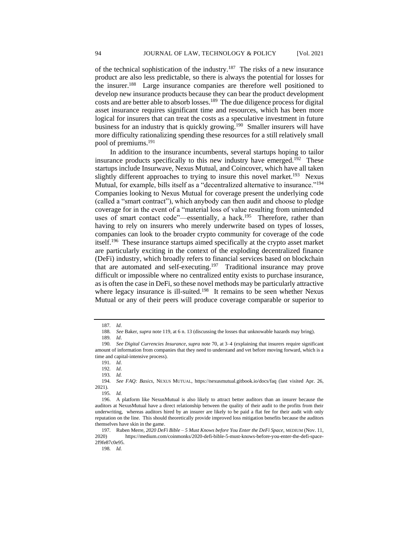of the technical sophistication of the industry.<sup>187</sup> The risks of a new insurance product are also less predictable, so there is always the potential for losses for the insurer.<sup>188</sup> Large insurance companies are therefore well positioned to develop new insurance products because they can bear the product development costs and are better able to absorb losses.<sup>189</sup> The due diligence process for digital asset insurance requires significant time and resources, which has been more logical for insurers that can treat the costs as a speculative investment in future business for an industry that is quickly growing.<sup>190</sup> Smaller insurers will have more difficulty rationalizing spending these resources for a still relatively small pool of premiums.<sup>191</sup>

In addition to the insurance incumbents, several startups hoping to tailor insurance products specifically to this new industry have emerged.<sup>192</sup> These startups include Insurwave, Nexus Mutual, and Coincover, which have all taken slightly different approaches to trying to insure this novel market.<sup>193</sup> Nexus Mutual, for example, bills itself as a "decentralized alternative to insurance."<sup>194</sup> Companies looking to Nexus Mutual for coverage present the underlying code (called a "smart contract"), which anybody can then audit and choose to pledge coverage for in the event of a "material loss of value resulting from unintended uses of smart contact code"—essentially, a hack.<sup>195</sup> Therefore, rather than having to rely on insurers who merely underwrite based on types of losses, companies can look to the broader crypto community for coverage of the code itself.<sup>196</sup> These insurance startups aimed specifically at the crypto asset market are particularly exciting in the context of the exploding decentralized finance (DeFi) industry, which broadly refers to financial services based on blockchain that are automated and self-executing.<sup>197</sup> Traditional insurance may prove difficult or impossible where no centralized entity exists to purchase insurance, as is often the case in DeFi, so these novel methods may be particularly attractive where legacy insurance is ill-suited.<sup>198</sup> It remains to be seen whether Nexus Mutual or any of their peers will produce coverage comparable or superior to

198*. Id.*

<sup>187</sup>*. Id*.

<sup>188</sup>*. See* Baker, *supra* note 119, at 6 n. 13 (discussing the losses that unknowable hazards may bring).

<sup>189</sup>*. Id*.

<sup>190</sup>*. See Digital Currencies Insurance*, *supra* note 70, at 3–4 (explaining that insurers require significant amount of information from companies that they need to understand and vet before moving forward, which is a time and capital-intensive process).

<sup>191</sup>*. Id*.

<sup>192</sup>*. Id*.

<sup>193</sup>*. Id.*

<sup>194</sup>*. See FAQ: Basics,* NEXUS MUTUAL*,* https://nexusmutual.gitbook.io/docs/faq (last visited Apr. 26, 2021).

<sup>195</sup>*. Id.*

<sup>196.</sup> A platform like NexusMutual is also likely to attract better auditors than an insurer because the auditors at NexusMutual have a direct relationship between the quality of their audit to the profits from their underwriting, whereas auditors hired by an insurer are likely to be paid a flat fee for their audit with only reputation on the line. This should theoretically provide improved loss mitigation benefits because the auditors themselves have skin in the game.

<sup>197</sup>*.* Ruben Merre*, 2020 DeFi Bible – 5 Must Knows before You Enter the DeFi Space,* MEDIUM (Nov. 11, 2020) https://medium.com/coinmonks/2020-defi-bible-5-must-knows-before-you-enter-the-defi-space-2f9fe87c0e95.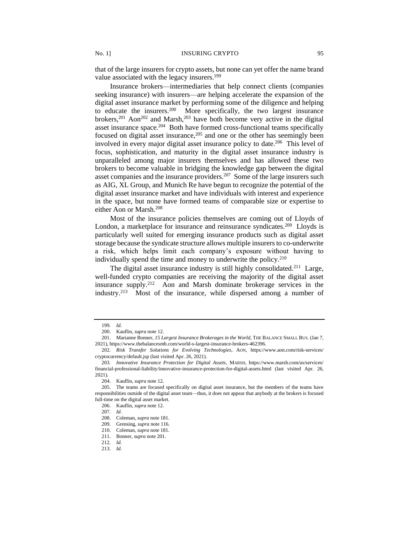that of the large insurers for crypto assets, but none can yet offer the name brand value associated with the legacy insurers.<sup>199</sup>

Insurance brokers—intermediaries that help connect clients (companies seeking insurance) with insurers—are helping accelerate the expansion of the digital asset insurance market by performing some of the diligence and helping to educate the insurers.<sup>200</sup> More specifically, the two largest insurance brokers,<sup>201</sup> Aon<sup>202</sup> and Marsh,<sup>203</sup> have both become very active in the digital asset insurance space.<sup>204</sup> Both have formed cross-functional teams specifically focused on digital asset insurance,  $205$  and one or the other has seemingly been involved in every major digital asset insurance policy to date.<sup>206</sup> This level of focus, sophistication, and maturity in the digital asset insurance industry is unparalleled among major insurers themselves and has allowed these two brokers to become valuable in bridging the knowledge gap between the digital asset companies and the insurance providers.<sup>207</sup> Some of the large insurers such as AIG, XL Group, and Munich Re have begun to recognize the potential of the digital asset insurance market and have individuals with interest and experience in the space, but none have formed teams of comparable size or expertise to either Aon or Marsh.<sup>208</sup>

Most of the insurance policies themselves are coming out of Lloyds of London, a marketplace for insurance and reinsurance syndicates.<sup>209</sup> Lloyds is particularly well suited for emerging insurance products such as digital asset storage because the syndicate structure allows multiple insurers to co-underwrite a risk, which helps limit each company's exposure without having to individually spend the time and money to underwrite the policy.<sup>210</sup>

The digital asset insurance industry is still highly consolidated.<sup>211</sup> Large, well-funded crypto companies are receiving the majority of the digital asset insurance supply.<sup>212</sup> Aon and Marsh dominate brokerage services in the industry.<sup>213</sup> Most of the insurance, while dispersed among a number of

<sup>199</sup>*. Id.*

<sup>200.</sup> Kauflin, *supra* note 12.

<sup>201.</sup> Marianne Bonner, *15 Largest Insurance Brokerages in the World*, THE BALANCE SMALL BUS. (Jan 7, 2021), https://www.thebalancesmb.com/world-s-largest-insurance-brokers-462396.

<sup>202</sup>*. Risk Transfer Solutions for Evolving Technologies*, AON, https://www.aon.com/risk-services/ cryptocurrency/default.jsp (last visited Apr. 26, 2021).

<sup>203</sup>*. Innovative Insurance Protection for Digital Assets*, MARSH, https://www.marsh.com/us/services/ financial-professional-liability/innovative-insurance-protection-for-digital-assets.html (last visited Apr. 26, 2021).

<sup>204.</sup> Kauflin, *supra* note 12.

<sup>205.</sup> The teams are focused specifically on digital asset insurance, but the members of the teams have responsibilities outside of the digital asset team—thus, it does not appear that anybody at the brokers is focused full-time on the digital asset market.

<sup>206.</sup> Kauflin, *supra* note 12.

<sup>207</sup>*. Id.*

<sup>208.</sup> Coleman, *supra* note 181.

<sup>209.</sup> Grensing, *supra* note 116.

<sup>210.</sup> Coleman, *supra* note 181.

<sup>211.</sup> Bonner, *supra* note 201.

<sup>212</sup>*. Id.*

<sup>213</sup>*. Id.*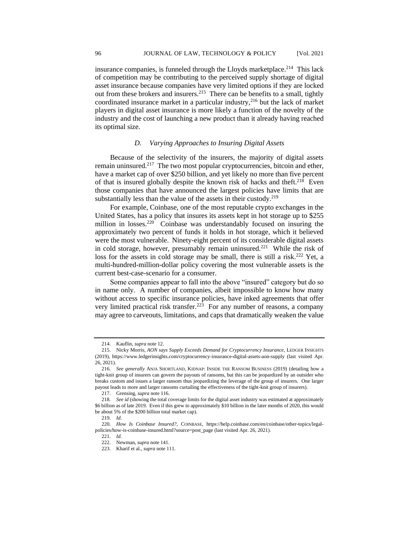insurance companies, is funneled through the Lloyds marketplace.<sup>214</sup> This lack of competition may be contributing to the perceived supply shortage of digital asset insurance because companies have very limited options if they are locked out from these brokers and insurers.<sup>215</sup> There can be benefits to a small, tightly coordinated insurance market in a particular industry,<sup>216</sup> but the lack of market players in digital asset insurance is more likely a function of the novelty of the industry and the cost of launching a new product than it already having reached its optimal size.

# *D. Varying Approaches to Insuring Digital Assets*

Because of the selectivity of the insurers, the majority of digital assets remain uninsured.<sup>217</sup> The two most popular cryptocurrencies, bitcoin and ether, have a market cap of over \$250 billion, and yet likely no more than five percent of that is insured globally despite the known risk of hacks and theft.<sup>218</sup> Even those companies that have announced the largest policies have limits that are substantially less than the value of the assets in their custody.<sup>219</sup>

For example, Coinbase, one of the most reputable crypto exchanges in the United States, has a policy that insures its assets kept in hot storage up to \$255 million in losses.<sup>220</sup> Coinbase was understandably focused on insuring the approximately two percent of funds it holds in hot storage, which it believed were the most vulnerable. Ninety-eight percent of its considerable digital assets in cold storage, however, presumably remain uninsured.<sup>221</sup> While the risk of loss for the assets in cold storage may be small, there is still a risk.<sup>222</sup> Yet, a multi-hundred-million-dollar policy covering the most vulnerable assets is the current best-case-scenario for a consumer.

Some companies appear to fall into the above "insured" category but do so in name only. A number of companies, albeit impossible to know how many without access to specific insurance policies, have inked agreements that offer very limited practical risk transfer.<sup>223</sup> For any number of reasons, a company may agree to carveouts, limitations, and caps that dramatically weaken the value

<sup>214.</sup> Kauflin, *supra* note 12.

<sup>215.</sup> Nicky Morris, *AON says Supply Exceeds Demand for Cryptocurrency Insurance*, LEDGER INSIGHTS (2019), https://www.ledgerinsights.com/cryptocurrency-insurance-digital-assets-aon-supply (last visited Apr. 26, 2021).

<sup>216</sup>*. See generally* ANJA SHORTLAND, KIDNAP: INSIDE THE RANSOM BUSINESS (2019) (detailing how a tight-knit group of insurers can govern the payouts of ransoms, but this can be jeopardized by an outsider who breaks custom and issues a larger ransom thus jeopardizing the leverage of the group of insurers. One larger payout leads to more and larger ransoms curtailing the effectiveness of the tight-knit group of insurers).

<sup>217.</sup> Grensing, *supra* note 116.

<sup>218</sup>*. See id* (showing the total coverage limits for the digital asset industry was estimated at approximately \$6 billion as of late 2019. Even if this grew to approximately \$10 billion in the later months of 2020, this would be about 5% of the \$200 billion total market cap).

<sup>219</sup>*. Id.*

<sup>220</sup>*. How Is Coinbase Insured?*, COINBASE, https://help.coinbase.com/en/coinbase/other-topics/legalpolicies/how-is-coinbase-insured.html?source=post\_page (last visited Apr. 26, 2021).

<sup>221</sup>*. Id.*

<sup>222.</sup> Newman, *supra* note 141.

<sup>223.</sup> Kharif et al., *supra* note 111.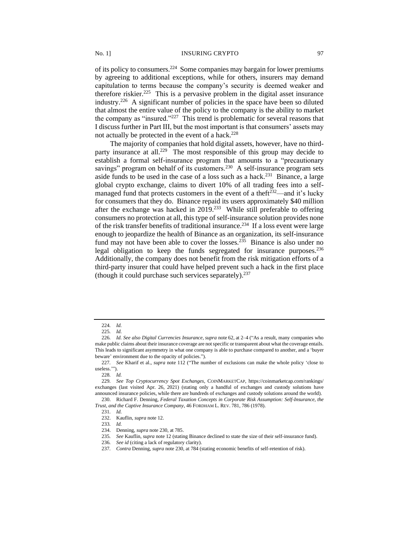of its policy to consumers.<sup>224</sup> Some companies may bargain for lower premiums by agreeing to additional exceptions, while for others, insurers may demand capitulation to terms because the company's security is deemed weaker and therefore riskier.<sup>225</sup> This is a pervasive problem in the digital asset insurance industry.<sup>226</sup> A significant number of policies in the space have been so diluted that almost the entire value of the policy to the company is the ability to market the company as "insured."<sup>227</sup> This trend is problematic for several reasons that I discuss further in Part III, but the most important is that consumers' assets may not actually be protected in the event of a hack.<sup>228</sup>

The majority of companies that hold digital assets, however, have no thirdparty insurance at all.<sup>229</sup> The most responsible of this group may decide to establish a formal self-insurance program that amounts to a "precautionary savings" program on behalf of its customers.<sup>230</sup> A self-insurance program sets aside funds to be used in the case of a loss such as a hack.<sup>231</sup> Binance, a large global crypto exchange, claims to divert 10% of all trading fees into a selfmanaged fund that protects customers in the event of a theft<sup> $\frac{232}{ }$ </sup> and it's lucky for consumers that they do. Binance repaid its users approximately \$40 million after the exchange was hacked in  $2019<sup>233</sup>$  While still preferable to offering consumers no protection at all, this type of self-insurance solution provides none of the risk transfer benefits of traditional insurance.<sup>234</sup> If a loss event were large enough to jeopardize the health of Binance as an organization, its self-insurance fund may not have been able to cover the losses.<sup>235</sup> Binance is also under no legal obligation to keep the funds segregated for insurance purposes.<sup>236</sup> Additionally, the company does not benefit from the risk mitigation efforts of a third-party insurer that could have helped prevent such a hack in the first place (though it could purchase such services separately). $237$ 

<sup>224</sup>*. Id.*

<sup>225</sup>*. Id.*

<sup>226</sup>*. Id. See also Digital Currencies Insurance*, *supra* note 62, at 2–4 ("As a result, many companies who make public claims about their insurance coverage are not specific or transparent about what the coverage entails. This leads to significant asymmetry in what one company is able to purchase compared to another, and a 'buyer beware' environment due to the opacity of policies.").

<sup>227</sup>*. See* Kharif et al., *supra* note 112 ("The number of exclusions can make the whole policy 'close to useless.'").

<sup>228</sup>*. Id.* 

<sup>229</sup>*. See Top Cryptocurrency Spot Exchanges*, COINMARKETCAP, https://coinmarketcap.com/rankings/ exchanges (last visited Apr. 26, 2021) (stating only a handful of exchanges and custody solutions have announced insurance policies, while there are hundreds of exchanges and custody solutions around the world).

<sup>230.</sup> Richard F. Denning, *Federal Taxation Concepts in Corporate Risk Assumption: Self-Insurance, the Trust, and the Captive Insurance Company*, 46 FORDHAM L. REV. 781, 786 (1978).

<sup>231</sup>*. Id.* 232. Kauflin, *supra* note 12.

<sup>233</sup>*. Id.*

<sup>234.</sup> Denning, *supra* note 230, at 785.

<sup>235</sup>*. See* Kauflin, *supra* note 12 (stating Binance declined to state the size of their self-insurance fund).

<sup>236</sup>*. See id* (citing a lack of regulatory clarity).

<sup>237</sup>*. Contra* Denning, *supra* note 230, at 784 (stating economic benefits of self-retention of risk).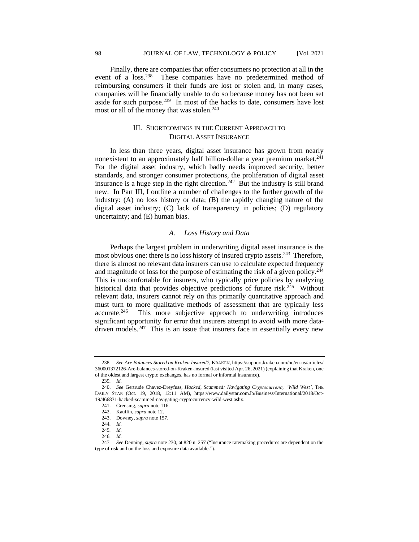Finally, there are companies that offer consumers no protection at all in the event of a loss.<sup>238</sup> These companies have no predetermined method of reimbursing consumers if their funds are lost or stolen and, in many cases, companies will be financially unable to do so because money has not been set aside for such purpose.<sup>239</sup> In most of the hacks to date, consumers have lost most or all of the money that was stolen.<sup>240</sup>

# III. SHORTCOMINGS IN THE CURRENT APPROACH TO DIGITAL ASSET INSURANCE

In less than three years, digital asset insurance has grown from nearly nonexistent to an approximately half billion-dollar a year premium market.<sup>241</sup> For the digital asset industry, which badly needs improved security, better standards, and stronger consumer protections, the proliferation of digital asset insurance is a huge step in the right direction.<sup>242</sup> But the industry is still brand new. In Part III, I outline a number of challenges to the further growth of the industry: (A) no loss history or data; (B) the rapidly changing nature of the digital asset industry; (C) lack of transparency in policies; (D) regulatory uncertainty; and (E) human bias.

# *A. Loss History and Data*

Perhaps the largest problem in underwriting digital asset insurance is the most obvious one: there is no loss history of insured crypto assets.<sup>243</sup> Therefore, there is almost no relevant data insurers can use to calculate expected frequency and magnitude of loss for the purpose of estimating the risk of a given policy.<sup>244</sup> This is uncomfortable for insurers, who typically price policies by analyzing historical data that provides objective predictions of future risk.<sup>245</sup> Without relevant data, insurers cannot rely on this primarily quantitative approach and must turn to more qualitative methods of assessment that are typically less accurate.<sup>246</sup> This more subjective approach to underwriting introduces significant opportunity for error that insurers attempt to avoid with more datadriven models.<sup>247</sup> This is an issue that insurers face in essentially every new

<sup>238</sup>*. See Are Balances Stored on Kraken Insured?*, KRAKEN, https://support.kraken.com/hc/en-us/articles/ 360001372126-Are-balances-stored-on-Kraken-insured (last visited Apr. 26, 2021) (explaining that Kraken, one of the oldest and largest crypto exchanges, has no formal or informal insurance).

<sup>239</sup>*. Id.*

<sup>240.</sup> *See* Gertrude Chavez-Dreyfuss, *Hacked, Scammed: Navigating Cryptocurrency 'Wild West'*, THE DAILY STAR (Oct. 19, 2018, 12:11 AM), https://www.dailystar.com.lb/Business/International/2018/Oct-19/466831-hacked-scammed-navigating-cryptocurrency-wild-west.ashx.

<sup>241.</sup> Grensing, *supra* note 116.

<sup>242.</sup> Kauflin, *supra* note 12.

<sup>243.</sup> Downey, *supra* note 157.

<sup>244</sup>*. Id.*

<sup>245</sup>*. Id.*

<sup>246</sup>*. Id.*

<sup>247</sup>*. See* Denning, *supra* note 230, at 820 n. 257 ("Insurance ratemaking procedures are dependent on the type of risk and on the loss and exposure data available.").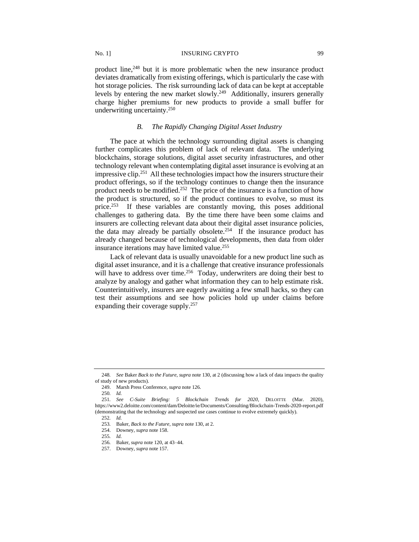product line,<sup>248</sup> but it is more problematic when the new insurance product deviates dramatically from existing offerings, which is particularly the case with hot storage policies. The risk surrounding lack of data can be kept at acceptable levels by entering the new market slowly.<sup>249</sup> Additionally, insurers generally charge higher premiums for new products to provide a small buffer for underwriting uncertainty.<sup>250</sup>

# *B. The Rapidly Changing Digital Asset Industry*

The pace at which the technology surrounding digital assets is changing further complicates this problem of lack of relevant data. The underlying blockchains, storage solutions, digital asset security infrastructures, and other technology relevant when contemplating digital asset insurance is evolving at an impressive clip.<sup>251</sup> All these technologies impact how the insurers structure their product offerings, so if the technology continues to change then the insurance product needs to be modified.<sup>252</sup> The price of the insurance is a function of how the product is structured, so if the product continues to evolve, so must its price.<sup>253</sup> If these variables are constantly moving, this poses additional challenges to gathering data. By the time there have been some claims and insurers are collecting relevant data about their digital asset insurance policies, the data may already be partially obsolete.<sup>254</sup> If the insurance product has already changed because of technological developments, then data from older insurance iterations may have limited value.<sup>255</sup>

Lack of relevant data is usually unavoidable for a new product line such as digital asset insurance, and it is a challenge that creative insurance professionals will have to address over time.<sup>256</sup> Today, underwriters are doing their best to analyze by analogy and gather what information they can to help estimate risk. Counterintuitively, insurers are eagerly awaiting a few small hacks, so they can test their assumptions and see how policies hold up under claims before expanding their coverage supply.<sup>257</sup>

<sup>248</sup>*. See* Baker *Back to the Future*, *supra* note 130, at 2 (discussing how a lack of data impacts the quality of study of new products).

<sup>249.</sup> Marsh Press Conference, *supra* note 126.

<sup>250</sup>*. Id.*

<sup>251</sup>*. See C-Suite Briefing: 5 Blockchain Trends for 2020*, DELOITTE (Mar. 2020), https://www2.deloitte.com/content/dam/Deloitte/ie/Documents/Consulting/Blockchain-Trends-2020-report.pdf (demonstrating that the technology and suspected use cases continue to evolve extremely quickly).

<sup>252</sup>*. Id.*

<sup>253</sup>*.* Baker*, Back to the Future, supra* note 130, at 2.

<sup>254.</sup> Downey, *supra* note 158.

<sup>255</sup>*. Id.*

<sup>256</sup>*.* Baker, *supra* note 120, at 43–44.

<sup>257.</sup> Downey, *supra* note 157.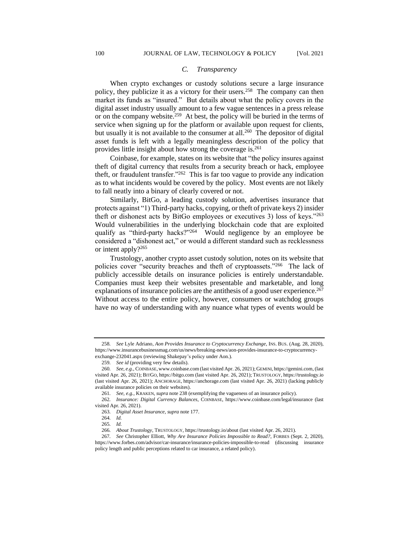### *C. Transparency*

When crypto exchanges or custody solutions secure a large insurance policy, they publicize it as a victory for their users.<sup>258</sup> The company can then market its funds as "insured." But details about what the policy covers in the digital asset industry usually amount to a few vague sentences in a press release or on the company website.<sup>259</sup> At best, the policy will be buried in the terms of service when signing up for the platform or available upon request for clients, but usually it is not available to the consumer at all.<sup>260</sup> The depositor of digital asset funds is left with a legally meaningless description of the policy that provides little insight about how strong the coverage is.<sup>261</sup>

Coinbase, for example, states on its website that "the policy insures against theft of digital currency that results from a security breach or hack, employee theft, or fraudulent transfer."<sup>262</sup> This is far too vague to provide any indication as to what incidents would be covered by the policy. Most events are not likely to fall neatly into a binary of clearly covered or not.

Similarly, BitGo, a leading custody solution, advertises insurance that protects against "1) Third-party hacks, copying, or theft of private keys 2) insider theft or dishonest acts by BitGo employees or executives 3) loss of keys."<sup>263</sup> Would vulnerabilities in the underlying blockchain code that are exploited qualify as "third-party hacks?"<sup>264</sup> Would negligence by an employee be considered a "dishonest act," or would a different standard such as recklessness or intent apply?<sup>265</sup>

Trustology, another crypto asset custody solution, notes on its website that policies cover "security breaches and theft of cryptoassets."<sup>266</sup> The lack of publicly accessible details on insurance policies is entirely understandable. Companies must keep their websites presentable and marketable, and long explanations of insurance policies are the antithesis of a good user experience.<sup>267</sup> Without access to the entire policy, however, consumers or watchdog groups have no way of understanding with any nuance what types of events would be

<sup>258</sup>*. See* Lyle Adriano, *Aon Provides Insurance to Cryptocurrency Exchange*, INS. BUS. (Aug. 28, 2020), https://www.insurancebusinessmag.com/us/news/breaking-news/aon-provides-insurance-to-cryptocurrencyexchange-232041.aspx (reviewing Shakepay's policy under Aon.).

<sup>259</sup>*. See id* (providing very few details).

<sup>260</sup>*. See, e.g.,* COINBASE,www.coinbase.com (last visited Apr. 26, 2021); GEMINI, https://gemini.com, (last visited Apr. 26, 2021); BITGO, https://bitgo.com (last visited Apr. 26, 2021); TRUSTOLOGY, https://trustology.io (last visited Apr. 26, 2021); ANCHORAGE, https://anchorage.com (last visited Apr. 26, 2021) (lacking publicly available insurance policies on their websites).

<sup>261</sup>*. See, e.g.,* KRAKEN, *supra* note 238 (exemplifying the vagueness of an insurance policy).

<sup>262</sup>*. Insurance: Digital Currency Balances*, COINBASE, https://www.coinbase.com/legal/insurance (last visited Apr. 26, 2021).

<sup>263</sup>*. Digital Asset Insurance, supra* note 177.

<sup>264</sup>*. Id.*

<sup>265</sup>*. Id.*

<sup>266</sup>*. About Trustology*, TRUSTOLOGY, https://trustology.io/about (last visited Apr. 26, 2021).

<sup>267</sup>*. See* Christopher Elliott, *Why Are Insurance Policies Impossible to Read?*, FORBES (Sept. 2, 2020), https://www.forbes.com/advisor/car-insurance/insurance-policies-impossible-to-read (discussing insurance policy length and public perceptions related to car insurance, a related policy).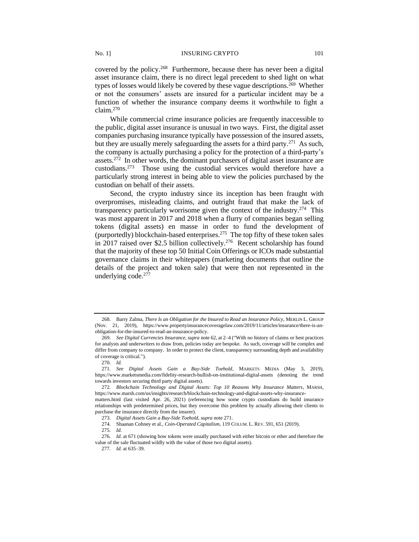covered by the policy.<sup>268</sup> Furthermore, because there has never been a digital asset insurance claim, there is no direct legal precedent to shed light on what types of losses would likely be covered by these vague descriptions.<sup>269</sup> Whether or not the consumers' assets are insured for a particular incident may be a function of whether the insurance company deems it worthwhile to fight a claim.<sup>270</sup>

While commercial crime insurance policies are frequently inaccessible to the public, digital asset insurance is unusual in two ways. First, the digital asset companies purchasing insurance typically have possession of the insured assets, but they are usually merely safeguarding the assets for a third party.<sup>271</sup> As such, the company is actually purchasing a policy for the protection of a third-party's assets.<sup>272</sup> In other words, the dominant purchasers of digital asset insurance are custodians.<sup>273</sup> Those using the custodial services would therefore have a particularly strong interest in being able to view the policies purchased by the custodian on behalf of their assets.

Second, the crypto industry since its inception has been fraught with overpromises, misleading claims, and outright fraud that make the lack of transparency particularly worrisome given the context of the industry.<sup>274</sup> This was most apparent in 2017 and 2018 when a flurry of companies began selling tokens (digital assets) en masse in order to fund the development of (purportedly) blockchain-based enterprises.<sup>275</sup> The top fifty of these token sales in 2017 raised over \$2.5 billion collectively.<sup>276</sup> Recent scholarship has found that the majority of these top 50 Initial Coin Offerings or ICOs made substantial governance claims in their whitepapers (marketing documents that outline the details of the project and token sale) that were then not represented in the underlying code. $277$ 

<sup>268.</sup> Barry Zalma, *There Is an Obligation for the Insured to Read an Insurance Policy*, MERLIN L. GROUP (Nov. 21, 2019), https://www.propertyinsurancecoveragelaw.com/2019/11/articles/insurance/there-is-anobligation-for-the-insured-to-read-an-insurance-policy.

<sup>269</sup>*. See Digital Currencies Insurance*, *supra* note 62, at 2–4 ("With no history of claims or best practices for analysts and underwriters to draw from, policies today are bespoke. As such, coverage will be complex and differ from company to company. In order to protect the client, transparency surrounding depth and availability of coverage is critical.").

<sup>270</sup>*. Id.*

<sup>271</sup>*. See Digital Assets Gain a Buy-Side Toehold*, MARKETS MEDIA (May 3, 2019), https://www.marketsmedia.com/fidelity-research-bullish-on-institutional-digital-assets (denoting the trend towards investors securing third party digital assets).

<sup>272</sup>*. Blockchain Technology and Digital Assets: Top 10 Reasons Why Insurance Matters*, MARSH, https://www.marsh.com/us/insights/research/blockchain-technology-and-digital-assets-why-insurance-

matters.html (last visited Apr. 26, 2021) (referencing how some crypto custodians do build insurance relationships with predetermined prices, but they overcome this problem by actually allowing their clients to purchase the insurance directly from the insurer).

<sup>273</sup>*. Digital Assets Gain a Buy-Side Toehold*, *supra* note 271.

<sup>274.</sup> Shaanan Cohney et al., *Coin-Operated Capitalism*, 119 COLUM. L. REV. 591, 651 (2019).

<sup>275</sup>*. Id.*

<sup>276</sup>*. Id.* at 671 (showing how tokens were usually purchased with either bitcoin or ether and therefore the value of the sale fluctuated wildly with the value of those two digital assets).

<sup>277</sup>*. Id.* at 635–39.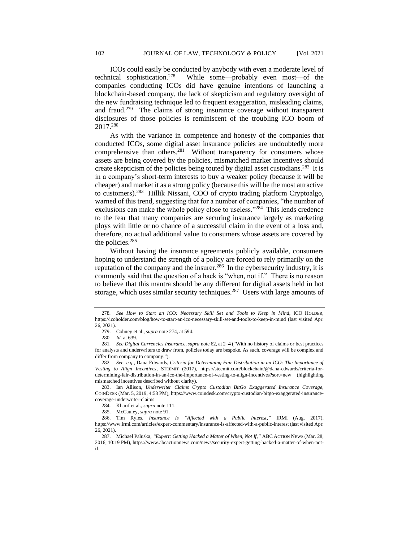ICOs could easily be conducted by anybody with even a moderate level of technical sophistication.<sup>278</sup> While some—probably even most—of the companies conducting ICOs did have genuine intentions of launching a blockchain-based company, the lack of skepticism and regulatory oversight of the new fundraising technique led to frequent exaggeration, misleading claims, and fraud.<sup>279</sup> The claims of strong insurance coverage without transparent disclosures of those policies is reminiscent of the troubling ICO boom of 2017.<sup>280</sup>

As with the variance in competence and honesty of the companies that conducted ICOs, some digital asset insurance policies are undoubtedly more comprehensive than others.<sup>281</sup> Without transparency for consumers whose assets are being covered by the policies, mismatched market incentives should create skepticism of the policies being touted by digital asset custodians.<sup>282</sup> It is in a company's short-term interests to buy a weaker policy (because it will be cheaper) and market it as a strong policy (because this will be the most attractive to customers).<sup>283</sup> Hillik Nissani, COO of crypto trading platform Cryptoalgo, warned of this trend, suggesting that for a number of companies, "the number of exclusions can make the whole policy close to useless."<sup>284</sup> This lends credence to the fear that many companies are securing insurance largely as marketing ploys with little or no chance of a successful claim in the event of a loss and, therefore, no actual additional value to consumers whose assets are covered by the policies.<sup>285</sup>

Without having the insurance agreements publicly available, consumers hoping to understand the strength of a policy are forced to rely primarily on the reputation of the company and the insurer.<sup>286</sup> In the cybersecurity industry, it is commonly said that the question of a hack is "when, not if." There is no reason to believe that this mantra should be any different for digital assets held in hot storage, which uses similar security techniques.<sup>287</sup> Users with large amounts of

<sup>278</sup>*. See How to Start an ICO: Necessary Skill Set and Tools to Keep in Mind*, ICO HOLDER, https://icoholder.com/blog/how-to-start-an-ico-necessary-skill-set-and-tools-to-keep-in-mind (last visited Apr. 26, 2021).

<sup>279.</sup> Cohney et al., *supra* note 274, at 594.

<sup>280</sup>*. Id.* at 639.

<sup>281</sup>*. See Digital Currencies Insurance*, *supra* note 62, at 2–4 ("With no history of claims or best practices for analysts and underwriters to draw from, policies today are bespoke. As such, coverage will be complex and differ from company to company.").

<sup>282</sup>*. See, e.g.*, Dana Edwards, *Criteria for Determining Fair Distribution in an ICO: The Importance of Vesting to Align Incentives*, STEEMIT (2017), https://steemit.com/blockchain/@dana-edwards/criteria-fordetermining-fair-distribution-in-an-ico-the-importance-of-vesting-to-align-incentives?sort=new (highlighting mismatched incentives described without clarity).

<sup>283.</sup> Ian Allison, *Underwriter Claims Crypto Custodian BitGo Exaggerated Insurance Coverage*, COINDESK (Mar. 5, 2019, 4:53 PM), https://www.coindesk.com/crypto-custodian-bitgo-exaggerated-insurancecoverage-underwriter-claims.

<sup>284.</sup> Kharif et al., *supra* note 111.

<sup>285.</sup> McCauley, *supra* note 91.

<sup>286.</sup> Tim Ryles, *Insurance Is "Affected with a Public Interest,"* IRMI (Aug. 2017), https://www.irmi.com/articles/expert-commentary/insurance-is-affected-with-a-public-interest (last visited Apr. 26, 2021).

<sup>287.</sup> Michael Paluska, *"Expert: Getting Hacked a Matter of When, Not If,"* ABC ACTION NEWS (Mar. 28, 2016, 10:19 PM), https://www.abcactionnews.com/news/security-expert-getting-hacked-a-matter-of-when-notif.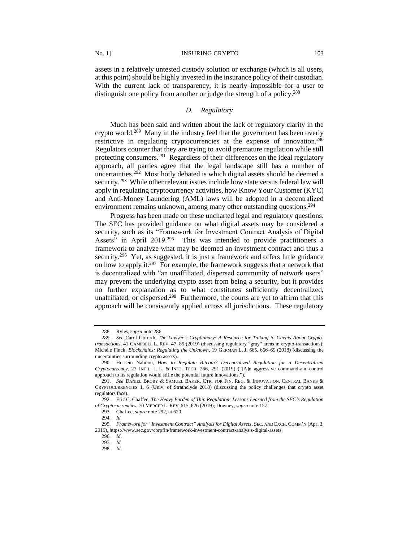assets in a relatively untested custody solution or exchange (which is all users, at this point) should be highly invested in the insurance policy of their custodian. With the current lack of transparency, it is nearly impossible for a user to distinguish one policy from another or judge the strength of a policy.<sup>288</sup>

# *D. Regulatory*

Much has been said and written about the lack of regulatory clarity in the crypto world.<sup>289</sup> Many in the industry feel that the government has been overly restrictive in regulating cryptocurrencies at the expense of innovation.<sup>290</sup> Regulators counter that they are trying to avoid premature regulation while still protecting consumers.<sup>291</sup> Regardless of their differences on the ideal regulatory approach, all parties agree that the legal landscape still has a number of uncertainties.<sup>292</sup> Most hotly debated is which digital assets should be deemed a security.<sup>293</sup> While other relevant issues include how state versus federal law will apply in regulating cryptocurrency activities, how Know Your Customer (KYC) and Anti-Money Laundering (AML) laws will be adopted in a decentralized environment remains unknown, among many other outstanding questions.<sup>294</sup>

Progress has been made on these uncharted legal and regulatory questions. The SEC has provided guidance on what digital assets may be considered a security, such as its "Framework for Investment Contract Analysis of Digital Assets" in April 2019.<sup>295</sup> This was intended to provide practitioners a framework to analyze what may be deemed an investment contract and thus a security.<sup>296</sup> Yet, as suggested, it is just a framework and offers little guidance on how to apply it.<sup>297</sup> For example, the framework suggests that a network that is decentralized with "an unaffiliated, dispersed community of network users" may prevent the underlying crypto asset from being a security, but it provides no further explanation as to what constitutes sufficiently decentralized, unaffiliated, or dispersed.<sup>298</sup> Furthermore, the courts are yet to affirm that this approach will be consistently applied across all jurisdictions. These regulatory

<sup>288</sup>*.* Ryles, *supra* note 286.

<sup>289.</sup> *See* Carol Goforth, *The Lawyer's Cryptionary: A Resource for Talking to Clients About Cryptotransactions*, 41 CAMPBELL L. REV. 47, 85 (2019) (discussing regulatory "gray" areas in crypto-transactions); Michèle Finck, *Blockchains: Regulating the Unknown*, 19 GERMAN L. J. 665, 666–69 (2018) (discussing the uncertainties surrounding crypto assets).

<sup>290.</sup> Hossein Nabilou, *How to Regulate Bitcoin? Decentralized Regulation for a Decentralized Cryptocurrency*, 27 INT'L. J. L. & INFO. TECH. 266, 291 (2019) ("[A]n aggressive command-and-control approach to its regulation would stifle the potential future innovations.").

<sup>291.</sup> *See* DANIEL BROBY & SAMUEL BAKER, CTR. FOR FIN. REG. & INNOVATION, CENTRAL BANKS & CRYPTOCURRENCIES 1, 6 (Univ. of Strathclyde 2018) (discussing the policy challenges that crypto asset regulators face).

<sup>292</sup>*.* Eric C. Chaffee, *The Heavy Burden of Thin Regulation: Lessons Learned from the SEC's Regulation of Cryptocurrencies*, 70 MERCER L. REV. 615, 626 (2019); Downey, *supra* note 157.

<sup>293.</sup> Chaffee, *supra* note 292, at 620.

<sup>294</sup>*. Id.*

<sup>295</sup>*. Framework for "Investment Contract" Analysis for Digital Assets,* SEC. AND EXCH. COMM'N (Apr. 3, 2019), https://www.sec.gov/corpfin/framework-investment-contract-analysis-digital-assets.

<sup>296</sup>*. Id*.

<sup>297</sup>*. Id.*

<sup>298</sup>*. Id*.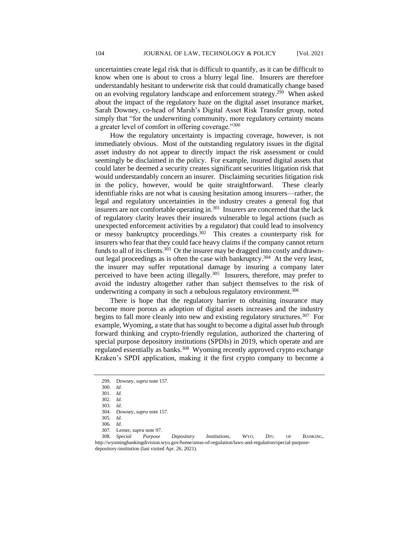uncertainties create legal risk that is difficult to quantify, as it can be difficult to know when one is about to cross a blurry legal line. Insurers are therefore understandably hesitant to underwrite risk that could dramatically change based on an evolving regulatory landscape and enforcement strategy.<sup>299</sup> When asked about the impact of the regulatory haze on the digital asset insurance market, Sarah Downey, co-head of Marsh's Digital Asset Risk Transfer group, noted simply that "for the underwriting community, more regulatory certainty means a greater level of comfort in offering coverage."<sup>300</sup>

How the regulatory uncertainty is impacting coverage, however, is not immediately obvious. Most of the outstanding regulatory issues in the digital asset industry do not appear to directly impact the risk assessment or could seemingly be disclaimed in the policy. For example, insured digital assets that could later be deemed a security creates significant securities litigation risk that would understandably concern an insurer. Disclaiming securities litigation risk in the policy, however, would be quite straightforward. These clearly identifiable risks are not what is causing hesitation among insurers—rather, the legal and regulatory uncertainties in the industry creates a general fog that insurers are not comfortable operating in.<sup>301</sup> Insurers are concerned that the lack of regulatory clarity leaves their insureds vulnerable to legal actions (such as unexpected enforcement activities by a regulator) that could lead to insolvency or messy bankruptcy proceedings.<sup>302</sup> This creates a counterparty risk for insurers who fear that they could face heavy claims if the company cannot return funds to all of its clients.<sup>303</sup> Or the insurer may be dragged into costly and drawnout legal proceedings as is often the case with bankruptcy.<sup>304</sup> At the very least, the insurer may suffer reputational damage by insuring a company later perceived to have been acting illegally.<sup>305</sup> Insurers, therefore, may prefer to avoid the industry altogether rather than subject themselves to the risk of underwriting a company in such a nebulous regulatory environment.<sup>306</sup>

There is hope that the regulatory barrier to obtaining insurance may become more porous as adoption of digital assets increases and the industry begins to fall more cleanly into new and existing regulatory structures.<sup>307</sup> For example, Wyoming, a state that has sought to become a digital asset hub through forward thinking and crypto-friendly regulation, authorized the chartering of special purpose depository institutions (SPDIs) in 2019, which operate and are regulated essentially as banks.<sup>308</sup> Wyoming recently approved crypto exchange Kraken's SPDI application, making it the first crypto company to become a

<sup>299.</sup> Downey, *supra* note 157.

<sup>300</sup>*. Id*.

<sup>301</sup>*. Id.*

<sup>302</sup>*. Id.* 303*. Id.*

<sup>304.</sup> Downey, *supra* note 157.

<sup>305</sup>*. Id.*

<sup>306</sup>*. Id.*

<sup>307</sup>*.* Lerner, *supra* note 97.

<sup>308</sup>*. Special Purpose Depository Institutions,* WYO. DIV. OF BANKING, http://wyomingbankingdivision.wyo.gov/home/areas-of-regulation/laws-and-regulation/special-purposedepository-institution (last visited Apr. 26, 2021).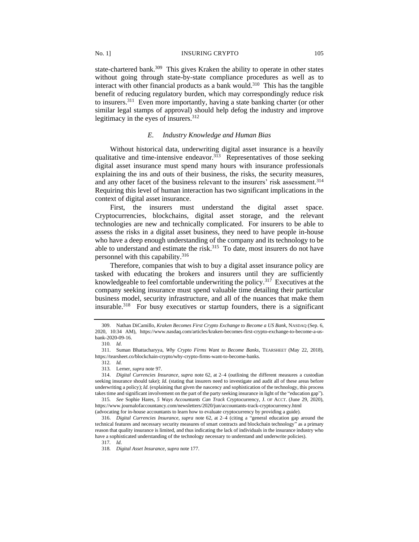state-chartered bank.<sup>309</sup> This gives Kraken the ability to operate in other states without going through state-by-state compliance procedures as well as to interact with other financial products as a bank would.<sup>310</sup> This has the tangible benefit of reducing regulatory burden, which may correspondingly reduce risk to insurers.<sup>311</sup> Even more importantly, having a state banking charter (or other similar legal stamps of approval) should help defog the industry and improve legitimacy in the eyes of insurers.<sup>312</sup>

## *E. Industry Knowledge and Human Bias*

Without historical data, underwriting digital asset insurance is a heavily qualitative and time-intensive endeavor.<sup>313</sup> Representatives of those seeking digital asset insurance must spend many hours with insurance professionals explaining the ins and outs of their business, the risks, the security measures, and any other facet of the business relevant to the insurers' risk assessment.<sup>314</sup> Requiring this level of human interaction has two significant implications in the context of digital asset insurance.

First, the insurers must understand the digital asset space. Cryptocurrencies, blockchains, digital asset storage, and the relevant technologies are new and technically complicated. For insurers to be able to assess the risks in a digital asset business, they need to have people in-house who have a deep enough understanding of the company and its technology to be able to understand and estimate the risk. $315$  To date, most insurers do not have personnel with this capability.<sup>316</sup>

Therefore, companies that wish to buy a digital asset insurance policy are tasked with educating the brokers and insurers until they are sufficiently knowledgeable to feel comfortable underwriting the policy.<sup>317</sup> Executives at the company seeking insurance must spend valuable time detailing their particular business model, security infrastructure, and all of the nuances that make them insurable.<sup>318</sup> For busy executives or startup founders, there is a significant

<sup>309.</sup> Nathan DiCamillo, *Kraken Becomes First Crypto Exchange to Become a US Bank*, NASDAQ (Sep. 6, 2020, 10:34 AM), https://www.nasdaq.com/articles/kraken-becomes-first-crypto-exchange-to-become-a-usbank-2020-09-16.

<sup>310</sup>*. Id*.

<sup>311.</sup> Suman Bhattacharyya, *Why Crypto Firms Want to Become Banks*, TEARSHEET (May 22, 2018), https://tearsheet.co/blockchain-crypto/why-crypto-firms-want-to-become-banks.

<sup>312</sup>*. Id.*

<sup>313</sup>*.* Lerner, *supra* note 97.

<sup>314.</sup> *Digital Currencies Insurance*, *supra* note 62, at 2–4 (outlining the different measures a custodian seeking insurance should take); *Id.* (stating that insurers need to investigate and audit all of these areas before underwriting a policy); *Id.* (explaining that given the nascency and sophistication of the technology, this process takes time and significant involvement on the part of the party seeking insurance in light of the "education gap").

<sup>315</sup>*. See* Sophie Hares, *5 Ways Accountants Can Track* Cryptocurrency, J. OF ACCT. (June 29, 2020), https://www.journalofaccountancy.com/newsletters/2020/jun/accountants-track-cryptocurrency.html (advocating for in-house accountants to learn how to evaluate cryptocurrency by providing a guide).

<sup>316.</sup> *Digital Currencies Insurance*, *supra* note 62, at 2–4 (citing a "general education gap around the technical features and necessary security measures of smart contracts and blockchain technology" as a primary reason that quality insurance is limited, and thus indicating the lack of individuals in the insurance industry who have a sophisticated understanding of the technology necessary to understand and underwrite policies).

<sup>317</sup>*. Id*.

<sup>318</sup>*. Digital Asset Insurance*, *supra* note 177.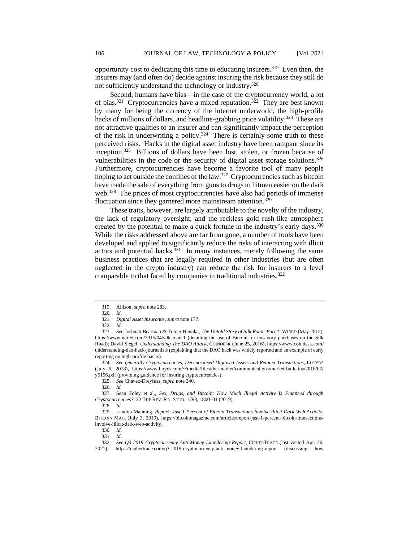opportunity cost to dedicating this time to educating insurers.<sup>319</sup> Even then, the insurers may (and often do) decide against insuring the risk because they still do not sufficiently understand the technology or industry.<sup>320</sup>

Second, humans have bias—in the case of the cryptocurrency world, a lot of bias.<sup>321</sup> Cryptocurrencies have a mixed reputation.<sup>322</sup> They are best known by many for being the currency of the internet underworld, the high-profile hacks of millions of dollars, and headline-grabbing price volatility.<sup>323</sup> These are not attractive qualities to an insurer and can significantly impact the perception of the risk in underwriting a policy.<sup>324</sup> There is certainly some truth to these perceived risks. Hacks in the digital asset industry have been rampant since its inception.<sup>325</sup> Billions of dollars have been lost, stolen, or frozen because of vulnerabilities in the code or the security of digital asset storage solutions.<sup>326</sup> Furthermore, cryptocurrencies have become a favorite tool of many people hoping to act outside the confines of the law.<sup>327</sup> Cryptocurrencies such as bitcoin have made the sale of everything from guns to drugs to hitmen easier on the dark web.<sup>328</sup> The prices of most cryptocurrencies have also had periods of immense fluctuation since they garnered more mainstream attention.<sup>329</sup>

These traits, however, are largely attributable to the novelty of the industry, the lack of regulatory oversight, and the reckless gold rush-like atmosphere created by the potential to make a quick fortune in the industry's early days.<sup>330</sup> While the risks addressed above are far from gone, a number of tools have been developed and applied to significantly reduce the risks of interacting with illicit actors and potential hacks.<sup>331</sup> In many instances, merely following the same business practices that are legally required in other industries (but are often neglected in the crypto industry) can reduce the risk for insurers to a level comparable to that faced by companies in traditional industries.<sup>332</sup>

<sup>319.</sup> Allison, *supra* note 283.

<sup>320</sup>*. Id*.

<sup>321</sup>*. Digital Asset Insurance*, *supra* note 177.

<sup>322</sup>*. Id*.

<sup>323</sup>*. See* Joshuah Bearman & Tomer Hanuka, *The Untold Story of Silk Road: Part 1*, WIRED (May 2015), https://www.wired.com/2015/04/silk-road-1 (detailing the use of Bitcoin for unsavory purchases on the Silk Road); David Siegel, *Understanding The DAO Attack***,** COINDESK (June 25, 2016), https://www.coindesk.com/ understanding-dao-hack-journalists (explaining that the DAO hack was widely reported and an example of early reporting on high-profile hacks).

<sup>324</sup>*. See generally Cryptocurrencies, Decentralised Digitised Assets and Related Transactions*, LLOYDS (July 6, 2018), https://www.lloyds.com/~/media/files/the-market/communications/market-bulletins/2018/07/ y5196.pdf (providing guidance for insuring cryptocurrencies).

<sup>325.</sup> *See* Chavez-Dreyfuss, *supra* note 240.

<sup>326</sup>*. Id.*

<sup>327.</sup> Sean Foley et al., *Sex, Drugs, and Bitcoin: How Much Illegal Activity Is Financed through Cryptocurrencies?*, 32 THE REV. FIN. STUD. 1798, 1800–01 (2019).

<sup>328</sup>*. Id*.

<sup>329.</sup> Landon Manning, *Report: Just 1 Percent of Bitcoin Transactions Involve Illicit Dark Web Activity*, BITCOIN MAG. (July 3, 2019), https://bitcoinmagazine.com/articles/report-just-1-percent-bitcoin-transactionsinvolve-illicit-dark-web-activity.

<sup>330</sup>*. Id*.

<sup>331</sup>*. Id*.

<sup>332</sup>*. See Q3 2019 Cryptocurrency Anti-Money Laundering Report*, CIPHERTRACE (last visited Apr. 26, 2021), https://ciphertrace.com/q3-2019-cryptocurrency-anti-money-laundering-report (discussing how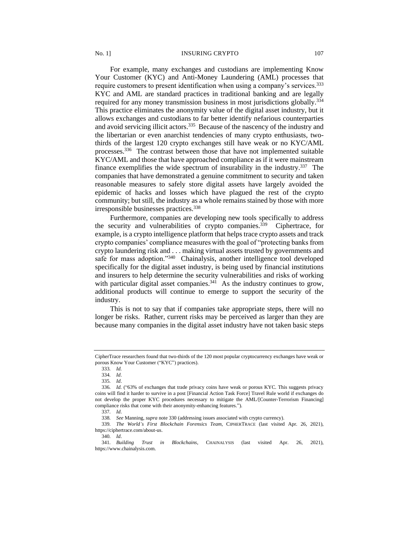## No. 1] INSURING CRYPTO 107

For example, many exchanges and custodians are implementing Know Your Customer (KYC) and Anti-Money Laundering (AML) processes that require customers to present identification when using a company's services.<sup>333</sup> KYC and AML are standard practices in traditional banking and are legally required for any money transmission business in most jurisdictions globally.<sup>334</sup> This practice eliminates the anonymity value of the digital asset industry, but it allows exchanges and custodians to far better identify nefarious counterparties and avoid servicing illicit actors.<sup>335</sup> Because of the nascency of the industry and the libertarian or even anarchist tendencies of many crypto enthusiasts, twothirds of the largest 120 crypto exchanges still have weak or no KYC/AML processes.<sup>336</sup> The contrast between those that have not implemented suitable KYC/AML and those that have approached compliance as if it were mainstream finance exemplifies the wide spectrum of insurability in the industry.<sup>337</sup> The companies that have demonstrated a genuine commitment to security and taken reasonable measures to safely store digital assets have largely avoided the epidemic of hacks and losses which have plagued the rest of the crypto community; but still, the industry as a whole remains stained by those with more irresponsible businesses practices.<sup>338</sup>

Furthermore, companies are developing new tools specifically to address the security and vulnerabilities of crypto companies.<sup>339</sup> Ciphertrace, for example, is a crypto intelligence platform that helps trace crypto assets and track crypto companies' compliance measures with the goal of "protecting banks from crypto laundering risk and . . . making virtual assets trusted by governments and safe for mass adoption."<sup>340</sup> Chainalysis, another intelligence tool developed specifically for the digital asset industry, is being used by financial institutions and insurers to help determine the security vulnerabilities and risks of working with particular digital asset companies. $341$  As the industry continues to grow, additional products will continue to emerge to support the security of the industry.

This is not to say that if companies take appropriate steps, there will no longer be risks. Rather, current risks may be perceived as larger than they are because many companies in the digital asset industry have not taken basic steps

CipherTrace researchers found that two-thirds of the 120 most popular cryptocurrency exchanges have weak or porous Know Your Customer ("KYC") practices).

<sup>333</sup>*. Id.*

<sup>334</sup>*. Id*.

<sup>335</sup>*. Id*.

<sup>336</sup>*. Id.* ("63% of exchanges that trade privacy coins have weak or porous KYC. This suggests privacy coins will find it harder to survive in a post [Financial Action Task Force] Travel Rule world if exchanges do not develop the proper KYC procedures necessary to mitigate the AML/[Counter-Terrorism Financing] compliance risks that come with their anonymity-enhancing features.").

<sup>337</sup>*. Id*.

<sup>338</sup>*. See* Manning, *supra* note 330 (addressing issues associated with crypto currency).

<sup>339</sup>*. The World's First Blockchain Forensics Team*, CIPHERTRACE (last visited Apr. 26, 2021), https://ciphertrace.com/about-us.

<sup>340</sup>*. Id*.

<sup>341</sup>*. Building Trust in Blockchains*, CHAINALYSIS (last visited Apr. 26, 2021), https://www.chainalysis.com.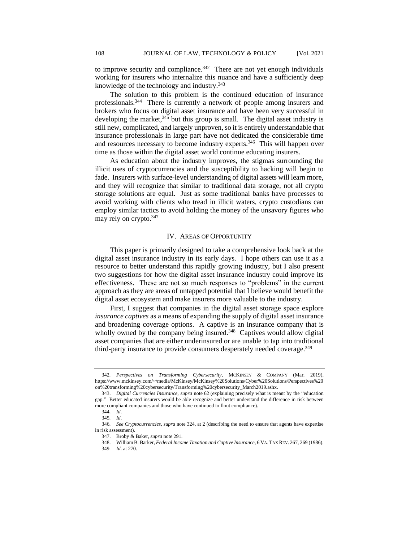to improve security and compliance.<sup>342</sup> There are not yet enough individuals working for insurers who internalize this nuance and have a sufficiently deep knowledge of the technology and industry.<sup>343</sup>

The solution to this problem is the continued education of insurance professionals.<sup>344</sup> There is currently a network of people among insurers and brokers who focus on digital asset insurance and have been very successful in developing the market,<sup>345</sup> but this group is small. The digital asset industry is still new, complicated, and largely unproven, so it is entirely understandable that insurance professionals in large part have not dedicated the considerable time and resources necessary to become industry experts.<sup>346</sup> This will happen over time as those within the digital asset world continue educating insurers.

As education about the industry improves, the stigmas surrounding the illicit uses of cryptocurrencies and the susceptibility to hacking will begin to fade. Insurers with surface-level understanding of digital assets will learn more, and they will recognize that similar to traditional data storage, not all crypto storage solutions are equal. Just as some traditional banks have processes to avoid working with clients who tread in illicit waters, crypto custodians can employ similar tactics to avoid holding the money of the unsavory figures who may rely on crypto.<sup>347</sup>

## IV. AREAS OF OPPORTUNITY

This paper is primarily designed to take a comprehensive look back at the digital asset insurance industry in its early days. I hope others can use it as a resource to better understand this rapidly growing industry, but I also present two suggestions for how the digital asset insurance industry could improve its effectiveness. These are not so much responses to "problems" in the current approach as they are areas of untapped potential that I believe would benefit the digital asset ecosystem and make insurers more valuable to the industry.

First, I suggest that companies in the digital asset storage space explore *insurance captives* as a means of expanding the supply of digital asset insurance and broadening coverage options. A captive is an insurance company that is wholly owned by the company being insured.<sup>348</sup> Captives would allow digital asset companies that are either underinsured or are unable to tap into traditional third-party insurance to provide consumers desperately needed coverage.<sup>349</sup>

<sup>342</sup>*. Perspectives on Transforming Cybersecurity*, MCKINSEY & COMPANY (Mar. 2019), https://www.mckinsey.com/~/media/McKinsey/McKinsey%20Solutions/Cyber%20Solutions/Perspectives%20 on%20transforming%20cybersecurity/Transforming%20cybersecurity\_March2019.ashx.

<sup>343.</sup> *Digital Currencies Insurance*, *supra* note 62 (explaining precisely what is meant by the "education gap." Better educated insurers would be able recognize and better understand the difference in risk between more compliant companies and those who have continued to flout compliance).

<sup>344</sup>*. Id*.

<sup>345</sup>*. Id*.

<sup>346</sup>*. See Cryptocurrencies, supra* note 324, at 2 (describing the need to ensure that agents have expertise in risk assessment).

<sup>347.</sup> Broby & Baker, *supra* note 291.

<sup>348.</sup> William B. Barker, *Federal Income Taxation and Captive Insurance*, 6 VA.TAX REV. 267, 269 (1986).

<sup>349</sup>*. Id*. at 270.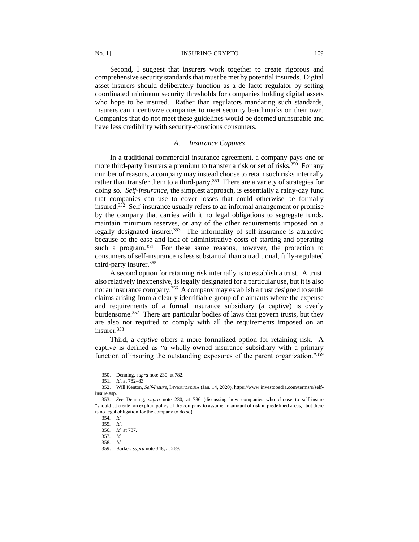No. 1] INSURING CRYPTO 109

Second, I suggest that insurers work together to create rigorous and comprehensive security standards that must be met by potential insureds. Digital asset insurers should deliberately function as a de facto regulator by setting coordinated minimum security thresholds for companies holding digital assets who hope to be insured. Rather than regulators mandating such standards, insurers can incentivize companies to meet security benchmarks on their own. Companies that do not meet these guidelines would be deemed uninsurable and have less credibility with security-conscious consumers.

# *A. Insurance Captives*

In a traditional commercial insurance agreement, a company pays one or more third-party insurers a premium to transfer a risk or set of risks.<sup>350</sup> For any number of reasons, a company may instead choose to retain such risks internally rather than transfer them to a third-party.<sup>351</sup> There are a variety of strategies for doing so. *Self-insurance*, the simplest approach, is essentially a rainy-day fund that companies can use to cover losses that could otherwise be formally insured.<sup>352</sup> Self-insurance usually refers to an informal arrangement or promise by the company that carries with it no legal obligations to segregate funds, maintain minimum reserves, or any of the other requirements imposed on a legally designated insurer.<sup>353</sup> The informality of self-insurance is attractive because of the ease and lack of administrative costs of starting and operating such a program.<sup>354</sup> For these same reasons, however, the protection to consumers of self-insurance is less substantial than a traditional, fully-regulated third-party insurer.<sup>355</sup>

A second option for retaining risk internally is to establish a trust. A trust, also relatively inexpensive, is legally designated for a particular use, but it is also not an insurance company.<sup>356</sup> A company may establish a trust designed to settle claims arising from a clearly identifiable group of claimants where the expense and requirements of a formal insurance subsidiary (a captive) is overly burdensome. 357 There are particular bodies of laws that govern trusts, but they are also not required to comply with all the requirements imposed on an insurer.<sup>358</sup>

Third, a *captive* offers a more formalized option for retaining risk. A captive is defined as "a wholly-owned insurance subsidiary with a primary function of insuring the outstanding exposures of the parent organization."<sup>359</sup>

<sup>350.</sup> Denning, *supra* note 230, at 782.

<sup>351</sup>*. Id*. at 782–83.

<sup>352.</sup> Will Kenton, *Self-Insure*, INVESTOPEDIA (Jan. 14, 2020), https://www.investopedia.com/terms/s/selfinsure.asp.

<sup>353</sup>*. See* Denning, *supra* note 230, at 786 (discussing how companies who choose to self-insure "should…[create] an explicit policy of the company to assume an amount of risk in predefined areas," but there is no legal obligation for the company to do so).

<sup>354</sup>*. Id.*

<sup>355</sup>*. Id*.

<sup>356</sup>*. Id.* at 787.

<sup>357</sup>*. Id.* 

<sup>358</sup>*. Id.*

<sup>359.</sup> Barker, *supra* note 348, at 269.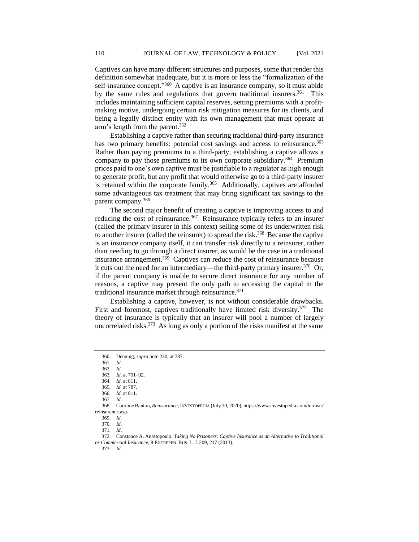Captives can have many different structures and purposes, some that render this definition somewhat inadequate, but it is more or less the "formalization of the self-insurance concept."<sup>360</sup> A captive is an insurance company, so it must abide by the same rules and regulations that govern traditional insurers.<sup>361</sup> This includes maintaining sufficient capital reserves, setting premiums with a profitmaking motive, undergoing certain risk mitigation measures for its clients, and being a legally distinct entity with its own management that must operate at arm's length from the parent.<sup>362</sup>

Establishing a captive rather than securing traditional third-party insurance has two primary benefits: potential cost savings and access to reinsurance.<sup>363</sup> Rather than paying premiums to a third-party, establishing a captive allows a company to pay those premiums to its own corporate subsidiary.<sup>364</sup> Premium prices paid to one's own captive must be justifiable to a regulator as high enough to generate profit, but any profit that would otherwise go to a third-party insurer is retained within the corporate family.<sup>365</sup> Additionally, captives are afforded some advantageous tax treatment that may bring significant tax savings to the parent company. 366

The second major benefit of creating a captive is improving access to and reducing the cost of reinsurance.<sup>367</sup> Reinsurance typically refers to an insurer (called the primary insurer in this context) selling some of its underwritten risk to another insurer (called the reinsurer) to spread the risk.<sup>368</sup> Because the captive is an insurance company itself, it can transfer risk directly to a reinsurer, rather than needing to go through a direct insurer, as would be the case in a traditional insurance arrangement.<sup>369</sup> Captives can reduce the cost of reinsurance because it cuts out the need for an intermediary—the third-party primary insurer.<sup>370</sup> Or, if the parent company is unable to secure direct insurance for any number of reasons, a captive may present the only path to accessing the capital in the traditional insurance market through reinsurance.<sup>371</sup>

Establishing a captive, however, is not without considerable drawbacks. First and foremost, captives traditionally have limited risk diversity.<sup>372</sup> The theory of insurance is typically that an insurer will pool a number of largely uncorrelated risks.<sup>373</sup> As long as only a portion of the risks manifest at the same

361*. Id.*

362*. Id.*

364*. Id.* at 811. 365*. Id.* at 787.

367*. Id.*

368. Caroline Banton, *Reinsurance*, INVESTOPEDIA (July 30, 2020), https://www.investopedia.com/terms/r/ reinsurance.asp.

372. Constance A. Anastopoulo, *Taking No Prisoners: Captive Insurance as an Alternative to Traditional or Commercial Insurance*, 8 ENTREPEN. BUS. L.J. 209, 217 (2013).

373*. Id*.

<sup>360.</sup> Denning, *supra* note 230, at 787.

<sup>363</sup>*. Id*. at 791–92.

<sup>366</sup>*. Id.* at 811.

<sup>369</sup>*. Id*.

<sup>370</sup>*. Id*.

<sup>371</sup>*. Id*.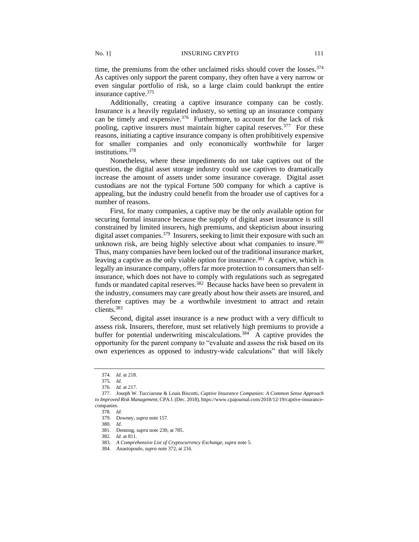time, the premiums from the other unclaimed risks should cover the losses.<sup>374</sup> As captives only support the parent company, they often have a very narrow or even singular portfolio of risk, so a large claim could bankrupt the entire insurance captive.<sup>375</sup>

Additionally, creating a captive insurance company can be costly. Insurance is a heavily regulated industry, so setting up an insurance company can be timely and expensive.<sup>376</sup> Furthermore, to account for the lack of risk pooling, captive insurers must maintain higher capital reserves.<sup>377</sup> For these reasons, initiating a captive insurance company is often prohibitively expensive for smaller companies and only economically worthwhile for larger institutions.<sup>378</sup>

Nonetheless, where these impediments do not take captives out of the question, the digital asset storage industry could use captives to dramatically increase the amount of assets under some insurance coverage. Digital asset custodians are not the typical Fortune 500 company for which a captive is appealing, but the industry could benefit from the broader use of captives for a number of reasons.

First, for many companies, a captive may be the only available option for securing formal insurance because the supply of digital asset insurance is still constrained by limited insurers, high premiums, and skepticism about insuring digital asset companies.<sup>379</sup> Insurers, seeking to limit their exposure with such an unknown risk, are being highly selective about what companies to insure.<sup>380</sup> Thus, many companies have been locked out of the traditional insurance market, leaving a captive as the only viable option for insurance.<sup>381</sup> A captive, which is legally an insurance company, offers far more protection to consumers than selfinsurance, which does not have to comply with regulations such as segregated funds or mandated capital reserves.<sup>382</sup> Because hacks have been so prevalent in the industry, consumers may care greatly about how their assets are insured, and therefore captives may be a worthwhile investment to attract and retain clients.<sup>383</sup>

Second, digital asset insurance is a new product with a very difficult to assess risk. Insurers, therefore, must set relatively high premiums to provide a buffer for potential underwriting miscalculations.<sup>384</sup> A captive provides the opportunity for the parent company to "evaluate and assess the risk based on its own experiences as opposed to industry-wide calculations" that will likely

<sup>374</sup>*. Id.* at 218.

<sup>375</sup>*. Id*.

<sup>376</sup>*. Id.* at 217.

<sup>377.</sup> Joseph W. Tucciarone & Louis Biscotti, *Captive Insurance Companies: A Common Sense Approach to Improved Risk Management*, CPA J.(Dec. 2018), https://www.cpajournal.com/2018/12/19/captive-insurancecompanies.

<sup>378</sup>*. Id.*

<sup>379.</sup> Downey, *supra* note 157.

<sup>380</sup>*. Id*.

<sup>381.</sup> Denning, *supra* note 230, at 785.

<sup>382</sup>*. Id*. at 811.

<sup>383</sup>*. A Comprehensive List of Cryptocurrency Exchange, supra* note 5.

<sup>384.</sup> Anastopoulo, *supra* note 372, at 216.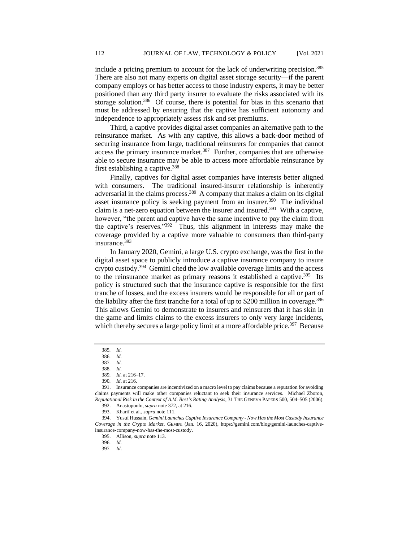include a pricing premium to account for the lack of underwriting precision.<sup>385</sup> There are also not many experts on digital asset storage security—if the parent company employs or has better access to those industry experts, it may be better positioned than any third party insurer to evaluate the risks associated with its storage solution.<sup>386</sup> Of course, there is potential for bias in this scenario that must be addressed by ensuring that the captive has sufficient autonomy and independence to appropriately assess risk and set premiums.

Third, a captive provides digital asset companies an alternative path to the reinsurance market. As with any captive, this allows a back-door method of securing insurance from large, traditional reinsurers for companies that cannot access the primary insurance market.<sup>387</sup> Further, companies that are otherwise able to secure insurance may be able to access more affordable reinsurance by first establishing a captive.<sup>388</sup>

Finally, captives for digital asset companies have interests better aligned with consumers. The traditional insured-insurer relationship is inherently adversarial in the claims process.<sup>389</sup> A company that makes a claim on its digital asset insurance policy is seeking payment from an insurer.<sup>390</sup> The individual claim is a net-zero equation between the insurer and insured.<sup>391</sup> With a captive, however, "the parent and captive have the same incentive to pay the claim from the captive's reserves."<sup>392</sup> Thus, this alignment in interests may make the coverage provided by a captive more valuable to consumers than third-party insurance. 393

In January 2020, Gemini, a large U.S. crypto exchange, was the first in the digital asset space to publicly introduce a captive insurance company to insure crypto custody.<sup>394</sup> Gemini cited the low available coverage limits and the access to the reinsurance market as primary reasons it established a captive.<sup>395</sup> Its policy is structured such that the insurance captive is responsible for the first tranche of losses, and the excess insurers would be responsible for all or part of the liability after the first tranche for a total of up to \$200 million in coverage.<sup>396</sup> This allows Gemini to demonstrate to insurers and reinsurers that it has skin in the game and limits claims to the excess insurers to only very large incidents, which thereby secures a large policy limit at a more affordable price.<sup>397</sup> Because

388*. Id.* 

<sup>385</sup>*. Id.*

<sup>386</sup>*. Id.*

<sup>387</sup>*. Id.*

<sup>389</sup>*. Id.* at 216–17.

<sup>390</sup>*. Id*. at 216.

<sup>391.</sup> Insurance companies are incentivized on a macro level to pay claims because a reputation for avoiding claims payments will make other companies reluctant to seek their insurance services. Michael Zboron, *Reputational Risk in the Context of A.M. Best's Rating Analysis,* 31 THE GENEVA PAPERS 500, 504–505 (2006).

<sup>392.</sup> Anastopoulo, *supra* note 372, at 216.

<sup>393.</sup> Kharif et al., *supra* note 111.

<sup>394.</sup> Yusuf Hussain, *Gemini Launches Captive Insurance Company - Now Has the Most Custody Insurance Coverage in the Crypto Market*, GEMINI (Jan. 16, 2020), https://gemini.com/blog/gemini-launches-captiveinsurance-company-now-has-the-most-custody.

<sup>395.</sup> Allison, *supra* note 113.

<sup>396</sup>*. Id.*

<sup>397</sup>*. Id*.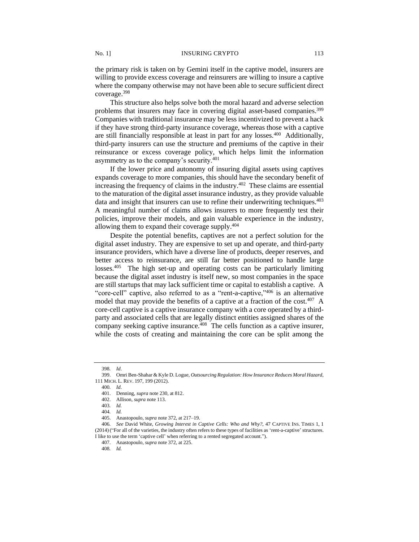the primary risk is taken on by Gemini itself in the captive model, insurers are willing to provide excess coverage and reinsurers are willing to insure a captive where the company otherwise may not have been able to secure sufficient direct coverage.<sup>398</sup>

This structure also helps solve both the moral hazard and adverse selection problems that insurers may face in covering digital asset-based companies.<sup>399</sup> Companies with traditional insurance may be less incentivized to prevent a hack if they have strong third-party insurance coverage, whereas those with a captive are still financially responsible at least in part for any losses.<sup>400</sup> Additionally, third-party insurers can use the structure and premiums of the captive in their reinsurance or excess coverage policy, which helps limit the information asymmetry as to the company's security.<sup>401</sup>

If the lower price and autonomy of insuring digital assets using captives expands coverage to more companies, this should have the secondary benefit of increasing the frequency of claims in the industry.<sup>402</sup> These claims are essential to the maturation of the digital asset insurance industry, as they provide valuable data and insight that insurers can use to refine their underwriting techniques.<sup>403</sup> A meaningful number of claims allows insurers to more frequently test their policies, improve their models, and gain valuable experience in the industry, allowing them to expand their coverage supply.<sup>404</sup>

Despite the potential benefits, captives are not a perfect solution for the digital asset industry. They are expensive to set up and operate, and third-party insurance providers, which have a diverse line of products, deeper reserves, and better access to reinsurance, are still far better positioned to handle large losses.<sup>405</sup> The high set-up and operating costs can be particularly limiting because the digital asset industry is itself new, so most companies in the space are still startups that may lack sufficient time or capital to establish a captive. A "core-cell" captive, also referred to as a "rent-a-captive,"<sup>406</sup> is an alternative model that may provide the benefits of a captive at a fraction of the cost.<sup>407</sup> A core-cell captive is a captive insurance company with a core operated by a thirdparty and associated cells that are legally distinct entities assigned shares of the company seeking captive insurance.<sup>408</sup> The cells function as a captive insurer, while the costs of creating and maintaining the core can be split among the

<sup>398</sup>*. Id*.

<sup>399.</sup> Omri Ben-Shahar & Kyle D. Logue, *Outsourcing Regulation: How Insurance Reduces Moral Hazard*, 111 MICH. L. REV. 197, 199 (2012).

<sup>400</sup>*. Id*.

<sup>401.</sup> Denning, *supra* note 230, at 812.

<sup>402.</sup> Allison, *supra* note 113.

<sup>403</sup>*. Id.*

<sup>404</sup>*. Id.*

<sup>405.</sup> Anastopoulo, *supra* note 372, at 217–19.

<sup>406</sup>*. See* David White, *Growing Interest in Captive Cells: Who and Why?*, 47 CAPTIVE INS. TIMES 1, 1 (2014) ("For all of the varieties, the industry often refers to these types of facilities as 'rent-a-captive' structures. I like to use the term 'captive cell' when referring to a rented segregated account.").

<sup>407.</sup> Anastopoulo, *supra* note 372, at 225.

<sup>408</sup>*. Id.*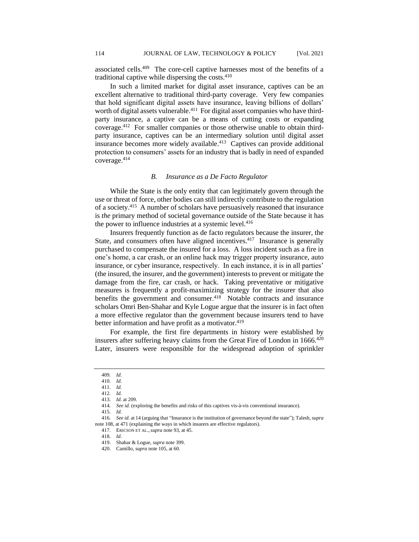associated cells. 409 The core-cell captive harnesses most of the benefits of a traditional captive while dispersing the costs.<sup>410</sup>

In such a limited market for digital asset insurance, captives can be an excellent alternative to traditional third-party coverage. Very few companies that hold significant digital assets have insurance, leaving billions of dollars' worth of digital assets vulnerable.<sup>411</sup> For digital asset companies who have thirdparty insurance, a captive can be a means of cutting costs or expanding coverage.<sup>412</sup> For smaller companies or those otherwise unable to obtain thirdparty insurance, captives can be an intermediary solution until digital asset insurance becomes more widely available.<sup>413</sup> Captives can provide additional protection to consumers' assets for an industry that is badly in need of expanded coverage.<sup>414</sup>

#### *B. Insurance as a De Facto Regulator*

While the State is the only entity that can legitimately govern through the use or threat of force, other bodies can still indirectly contribute to the regulation of a society.<sup>415</sup> A number of scholars have persuasively reasoned that insurance is *the* primary method of societal governance outside of the State because it has the power to influence industries at a systemic level.<sup>416</sup>

Insurers frequently function as de facto regulators because the insurer, the State, and consumers often have aligned incentives.<sup>417</sup> Insurance is generally purchased to compensate the insured for a loss. A loss incident such as a fire in one's home, a car crash, or an online hack may trigger property insurance, auto insurance, or cyber insurance, respectively. In each instance, it is in all parties' (the insured, the insurer, and the government) interests to prevent or mitigate the damage from the fire, car crash, or hack. Taking preventative or mitigative measures is frequently a profit-maximizing strategy for the insurer that also benefits the government and consumer.<sup>418</sup> Notable contracts and insurance scholars Omri Ben-Shahar and Kyle Logue argue that the insurer is in fact often a more effective regulator than the government because insurers tend to have better information and have profit as a motivator.<sup>419</sup>

For example, the first fire departments in history were established by insurers after suffering heavy claims from the Great Fire of London in 1666.<sup>420</sup> Later, insurers were responsible for the widespread adoption of sprinkler

<sup>409</sup>*. Id.*

<sup>410</sup>*. Id.*

<sup>411</sup>*. Id.*

<sup>412</sup>*. Id.* 413*. Id.* at 209.

<sup>414</sup>*. See id.* (exploring the benefits and risks of this captives vis-à-vis conventional insurance).

<sup>415</sup>*. Id.*

<sup>416</sup>*. See id.* at 14 (arguing that "Insurance is the institution of governance beyond the state"); Talesh, *supra*  note 108, at 471 (explaining the ways in which insurers are effective regulators).

<sup>417.</sup> ERICSON ET AL.,*supra* note 93, at 45.

<sup>418</sup>*. Id*.

<sup>419.</sup> Shahar & Logue, *supra* note 399.

<sup>420.</sup> Camillo, *supra* note 105, at 60.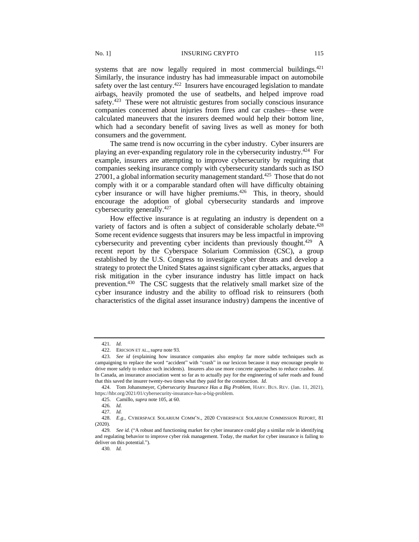systems that are now legally required in most commercial buildings. $421$ Similarly, the insurance industry has had immeasurable impact on automobile safety over the last century.<sup>422</sup> Insurers have encouraged legislation to mandate airbags, heavily promoted the use of seatbelts, and helped improve road safety.<sup>423</sup> These were not altruistic gestures from socially conscious insurance companies concerned about injuries from fires and car crashes—these were calculated maneuvers that the insurers deemed would help their bottom line, which had a secondary benefit of saving lives as well as money for both consumers and the government.

The same trend is now occurring in the cyber industry. Cyber insurers are playing an ever-expanding regulatory role in the cybersecurity industry.<sup>424</sup> For example, insurers are attempting to improve cybersecurity by requiring that companies seeking insurance comply with cybersecurity standards such as ISO 27001, a global information security management standard.<sup>425</sup> Those that do not comply with it or a comparable standard often will have difficulty obtaining cyber insurance or will have higher premiums. $426$  This, in theory, should encourage the adoption of global cybersecurity standards and improve cybersecurity generally.<sup>427</sup>

How effective insurance is at regulating an industry is dependent on a variety of factors and is often a subject of considerable scholarly debate.<sup>428</sup> Some recent evidence suggests that insurers may be less impactful in improving cybersecurity and preventing cyber incidents than previously thought.<sup>429</sup> A recent report by the Cyberspace Solarium Commission (CSC), a group established by the U.S. Congress to investigate cyber threats and develop a strategy to protect the United States against significant cyber attacks, argues that risk mitigation in the cyber insurance industry has little impact on hack prevention.<sup>430</sup> The CSC suggests that the relatively small market size of the cyber insurance industry and the ability to offload risk to reinsurers (both characteristics of the digital asset insurance industry) dampens the incentive of

<sup>421</sup>*. Id.* 

<sup>422.</sup> ERICSON ET AL.,*supra* note 93.

<sup>423</sup>*. See id* (explaining how insurance companies also employ far more subtle techniques such as campaigning to replace the word "accident" with "crash" in our lexicon because it may encourage people to drive more safely to reduce such incidents). Insurers also use more concrete approaches to reduce crashes. *Id*. In Canada, an insurance association went so far as to actually pay for the engineering of safer roads and found that this saved the insurer twenty-two times what they paid for the construction. *Id*.

<sup>424.</sup> Tom Johansmeyer, *Cybersecurity Insurance Has a Big Problem*, HARV. BUS. REV. (Jan. 11, 2021), https://hbr.org/2021/01/cybersecurity-insurance-has-a-big-problem.

<sup>425.</sup> Camillo, *supra* note 105, at 60.

<sup>426</sup>*. Id.*

<sup>427</sup>*. Id.*

<sup>428.</sup> *E.g.,* CYBERSPACE SOLARIUM COMM'N., 2020 CYBERSPACE SOLARIUM COMMISSION REPORT, 81 (2020).

<sup>429</sup>*. See id.* ("A robust and functioning market for cyber insurance could play a similar role in identifying and regulating behavior to improve cyber risk management. Today, the market for cyber insurance is failing to deliver on this potential.").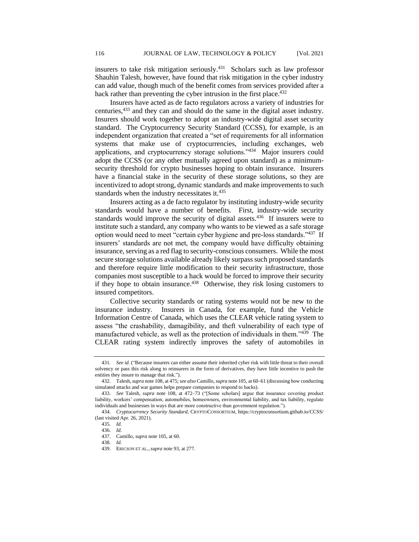insurers to take risk mitigation seriously.<sup>431</sup> Scholars such as law professor Shauhin Talesh, however, have found that risk mitigation in the cyber industry can add value, though much of the benefit comes from services provided after a hack rather than preventing the cyber intrusion in the first place.<sup>432</sup>

Insurers have acted as de facto regulators across a variety of industries for centuries,<sup>433</sup> and they can and should do the same in the digital asset industry. Insurers should work together to adopt an industry-wide digital asset security standard. The Cryptocurrency Security Standard (CCSS), for example, is an independent organization that created a "set of requirements for all information systems that make use of cryptocurrencies, including exchanges, web applications, and cryptocurrency storage solutions."<sup>434</sup> Major insurers could adopt the CCSS (or any other mutually agreed upon standard) as a minimumsecurity threshold for crypto businesses hoping to obtain insurance. Insurers have a financial stake in the security of these storage solutions, so they are incentivized to adopt strong, dynamic standards and make improvements to such standards when the industry necessitates it.<sup>435</sup>

Insurers acting as a de facto regulator by instituting industry-wide security standards would have a number of benefits. First, industry-wide security standards would improve the security of digital assets.<sup>436</sup> If insurers were to institute such a standard, any company who wants to be viewed as a safe storage option would need to meet "certain cyber hygiene and pre-loss standards."437 If insurers' standards are not met, the company would have difficulty obtaining insurance, serving as a red flag to security-conscious consumers. While the most secure storage solutions available already likely surpass such proposed standards and therefore require little modification to their security infrastructure, those companies most susceptible to a hack would be forced to improve their security if they hope to obtain insurance.<sup>438</sup> Otherwise, they risk losing customers to insured competitors.

Collective security standards or rating systems would not be new to the insurance industry. Insurers in Canada, for example, fund the Vehicle Information Centre of Canada, which uses the CLEAR vehicle rating system to assess "the crashability, damagibility, and theft vulnerability of each type of manufactured vehicle, as well as the protection of individuals in them."<sup>439</sup> The CLEAR rating system indirectly improves the safety of automobiles in

438*. Id.*

<sup>431</sup>*. See id.* ("Because insurers can either assume their inherited cyber risk with little threat to their overall solvency or pass this risk along to reinsurers in the form of derivatives, they have little incentive to push the entities they insure to manage that risk.").

<sup>432.</sup> Talesh, *supra* note 108, at 475; *see also* Camillo, *supra* note 105, at 60–61 (discussing how conducting simulated attacks and war games helps prepare companies to respond to hacks).

<sup>433.</sup> *See* Talesh, *supra* note 108, at 472–73 ("[Some scholars] argue that insurance covering product liability, workers' compensation, automobiles, homeowners, environmental liability, and tax liability, regulate individuals and businesses in ways that are more constructive than government regulation.").

<sup>434</sup>*. Cryptocurrency Security Standard*, CRYPTOCONSORTIUM, https://cryptoconsortium.github.io/CCSS/ (last visited Apr. 26, 2021).

<sup>435</sup>*. Id.*

<sup>436</sup>*. Id.* 437. Camillo, *supra* note 105, at 60.

<sup>439.</sup> ERICSON ET AL.,*supra* note 93, at 277.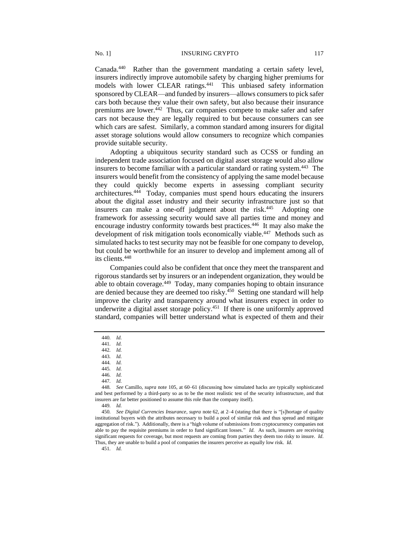Canada.<sup>440</sup> Rather than the government mandating a certain safety level, insurers indirectly improve automobile safety by charging higher premiums for models with lower CLEAR ratings.<sup>441</sup> This unbiased safety information sponsored by CLEAR—and funded by insurers—allows consumers to pick safer cars both because they value their own safety, but also because their insurance premiums are lower.<sup>442</sup> Thus, car companies compete to make safer and safer cars not because they are legally required to but because consumers can see which cars are safest. Similarly, a common standard among insurers for digital asset storage solutions would allow consumers to recognize which companies provide suitable security.

Adopting a ubiquitous security standard such as CCSS or funding an independent trade association focused on digital asset storage would also allow insurers to become familiar with a particular standard or rating system.<sup>443</sup> The insurers would benefit from the consistency of applying the same model because they could quickly become experts in assessing compliant security architectures.<sup>444</sup> Today, companies must spend hours educating the insurers about the digital asset industry and their security infrastructure just so that insurers can make a one-off judgment about the risk.<sup>445</sup> Adopting one framework for assessing security would save all parties time and money and encourage industry conformity towards best practices.<sup>446</sup> It may also make the development of risk mitigation tools economically viable.<sup>447</sup> Methods such as simulated hacks to test security may not be feasible for one company to develop, but could be worthwhile for an insurer to develop and implement among all of its clients.<sup>448</sup>

Companies could also be confident that once they meet the transparent and rigorous standards set by insurers or an independent organization, they would be able to obtain coverage.<sup>449</sup> Today, many companies hoping to obtain insurance are denied because they are deemed too risky.<sup>450</sup> Setting one standard will help improve the clarity and transparency around what insurers expect in order to underwrite a digital asset storage policy.<sup>451</sup> If there is one uniformly approved standard, companies will better understand what is expected of them and their

451*. Id.*

<sup>440</sup>*. Id.*

<sup>441</sup>*. Id.*

<sup>442</sup>*. Id.*

<sup>443</sup>*. Id.*

<sup>444</sup>*. Id.*

<sup>445</sup>*. Id.*

<sup>446</sup>*. Id.*

<sup>447</sup>*. Id.*

<sup>448</sup>*. See* Camillo, *supra* note 105, at 60–61 (discussing how simulated hacks are typically sophisticated and best performed by a third-party so as to be the most realistic test of the security infrastructure, and that insurers are far better positioned to assume this role than the company itself).

<sup>449</sup>*. Id.*

<sup>450</sup>*. See Digital Currencies Insurance*, *supra* note 62, at 2–4 (stating that there is "[s]hortage of quality institutional buyers with the attributes necessary to build a pool of similar risk and thus spread and mitigate aggregation of risk."). Additionally, there is a "high volume of submissions from cryptocurrency companies not able to pay the requisite premiums in order to fund significant losses." *Id*. As such, insurers are receiving significant requests for coverage, but most requests are coming from parties they deem too risky to insure. *Id*. Thus, they are unable to build a pool of companies the insurers perceive as equally low risk. *Id*.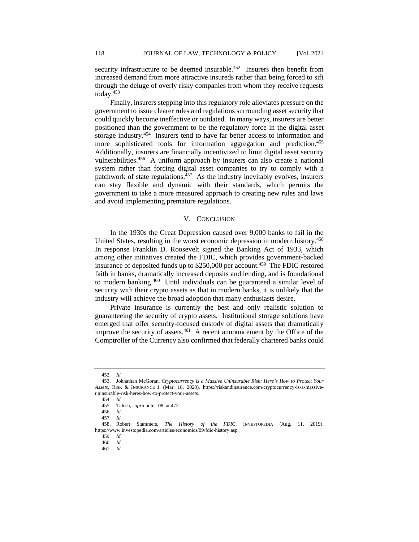security infrastructure to be deemed insurable.<sup>452</sup> Insurers then benefit from increased demand from more attractive insureds rather than being forced to sift through the deluge of overly risky companies from whom they receive requests today.<sup>453</sup>

Finally, insurers stepping into this regulatory role alleviates pressure on the government to issue clearer rules and regulations surrounding asset security that could quickly become ineffective or outdated. In many ways, insurers are better positioned than the government to be the regulatory force in the digital asset storage industry.<sup>454</sup> Insurers tend to have far better access to information and more sophisticated tools for information aggregation and prediction.<sup>455</sup> Additionally, insurers are financially incentivized to limit digital asset security vulnerabilities.<sup>456</sup> A uniform approach by insurers can also create a national system rather than forcing digital asset companies to try to comply with a patchwork of state regulations.<sup>457</sup> As the industry inevitably evolves, insurers can stay flexible and dynamic with their standards, which permits the government to take a more measured approach to creating new rules and laws and avoid implementing premature regulations.

# V. CONCLUSION

In the 1930s the Great Depression caused over 9,000 banks to fail in the United States, resulting in the worst economic depression in modern history.<sup>458</sup> In response Franklin D. Roosevelt signed the Banking Act of 1933, which among other initiatives created the FDIC, which provides government-backed insurance of deposited funds up to \$250,000 per account.<sup>459</sup> The FDIC restored faith in banks, dramatically increased deposits and lending, and is foundational to modern banking.<sup>460</sup> Until individuals can be guaranteed a similar level of security with their crypto assets as that in modern banks, it is unlikely that the industry will achieve the broad adoption that many enthusiasts desire.

Private insurance is currently the best and only realistic solution to guaranteeing the security of crypto assets. Institutional storage solutions have emerged that offer security-focused custody of digital assets that dramatically improve the security of assets. $461$  A recent announcement by the Office of the Comptroller of the Currency also confirmed that federally chartered banks could

<sup>452</sup>*. Id.*

<sup>453.</sup> Johnathan McGoran, *Cryptocurrency is a Massive Uninsurable Risk: Here's How to Protect Your Assets*, RISK & INSURANCE J. (Mar. 18, 2020), https://riskandinsurance.com/cryptocurrency-is-a-massiveuninsurable-risk-heres-how-to-protect-your-assets.

<sup>454</sup>*. Id.*

<sup>455.</sup> Talesh, *supra* note 108, at 472.

<sup>456</sup>*. Id.*

<sup>457</sup>*. Id.*

<sup>458.</sup> Robert Stammers, *The History of the FDIC*, INVESTOPEDIA (Aug. 11, 2019), https://www.investopedia.com/articles/economics/09/fdic-history.asp.

<sup>459</sup>*. Id.*

<sup>460</sup>*. Id*.

<sup>461</sup>*. Id.*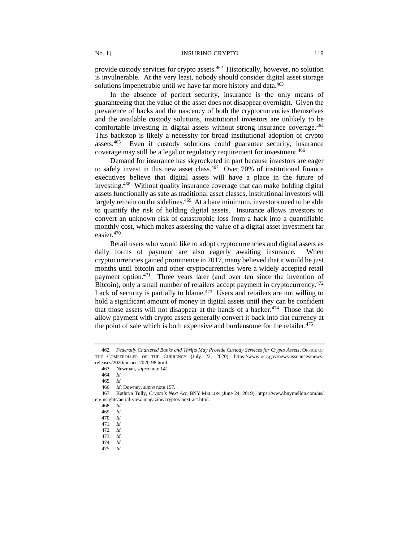provide custody services for crypto assets.<sup>462</sup> Historically, however, no solution is invulnerable. At the very least, nobody should consider digital asset storage solutions impenetrable until we have far more history and data.<sup>463</sup>

In the absence of perfect security, insurance is the only means of guaranteeing that the value of the asset does not disappear overnight. Given the prevalence of hacks and the nascency of both the cryptocurrencies themselves and the available custody solutions, institutional investors are unlikely to be comfortable investing in digital assets without strong insurance coverage.<sup>464</sup> This backstop is likely a necessity for broad institutional adoption of crypto assets.<sup>465</sup> Even if custody solutions could guarantee security, insurance coverage may still be a legal or regulatory requirement for investment.<sup>466</sup>

Demand for insurance has skyrocketed in part because investors are eager to safely invest in this new asset class.<sup>467</sup> Over 70% of institutional finance executives believe that digital assets will have a place in the future of investing.<sup>468</sup> Without quality insurance coverage that can make holding digital assets functionally as safe as traditional asset classes, institutional investors will largely remain on the sidelines.<sup>469</sup> At a bare minimum, investors need to be able to quantify the risk of holding digital assets. Insurance allows investors to convert an unknown risk of catastrophic loss from a hack into a quantifiable monthly cost, which makes assessing the value of a digital asset investment far easier.<sup>470</sup>

Retail users who would like to adopt cryptocurrencies and digital assets as daily forms of payment are also eagerly awaiting insurance. When cryptocurrencies gained prominence in 2017, many believed that it would be just months until bitcoin and other cryptocurrencies were a widely accepted retail payment option.<sup>471</sup> Three years later (and over ten since the invention of Bitcoin), only a small number of retailers accept payment in cryptocurrency.<sup>472</sup> Lack of security is partially to blame. $473$  Users and retailers are not willing to hold a significant amount of money in digital assets until they can be confident that those assets will not disappear at the hands of a hacker. $474$  Those that do allow payment with crypto assets generally convert it back into fiat currency at the point of sale which is both expensive and burdensome for the retailer.<sup>475</sup>

<sup>462</sup>*. Federally Chartered Banks and Thrifts May Provide Custody Services for Crypto Assets*, OFFICE OF THE COMPTROLLER OF THE CURRENCY (July 22, 2020), https://www.occ.gov/news-issuances/newsreleases/2020/nr-occ-2020-98.html.

<sup>463.</sup> Newman, *supra* note 141.

<sup>464</sup>*. Id.*

<sup>465</sup>*. Id.*

<sup>466</sup>*. Id*; Downey, *supra* note 157.

<sup>467.</sup> Kathryn Tully, *Crypto's Next Act*, BNY MELLON (June 24, 2019), https://www.bnymellon.com/us/ en/insights/aerial-view-magazine/cryptos-next-act.html.

<sup>468</sup>*. Id.*

<sup>469</sup>*. Id.*

<sup>470</sup>*. Id.*

<sup>471</sup>*. Id.*

<sup>472</sup>*. Id.*

<sup>473</sup>*. Id.*

<sup>474</sup>*. Id.*

<sup>475</sup>*. Id.*